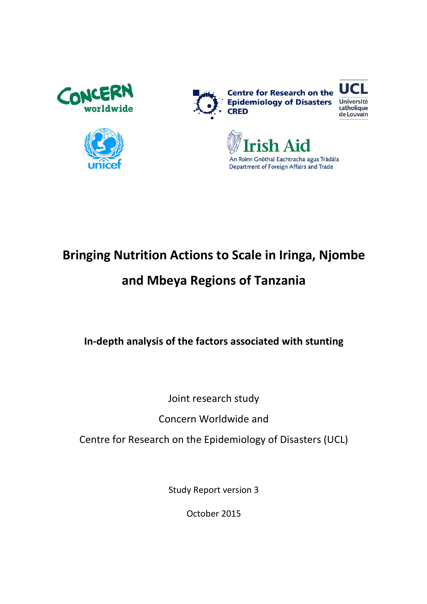









# Bringing Nutrition Actions to Scale in Iringa, Njombe

## and Mbeya Regions of Tanzania

In-depth analysis of the factors associated with stunting

Joint research study

Concern Worldwide and

Centre for Research on the Epidemiology of Disasters (UCL)

Study Report version 3

October 2015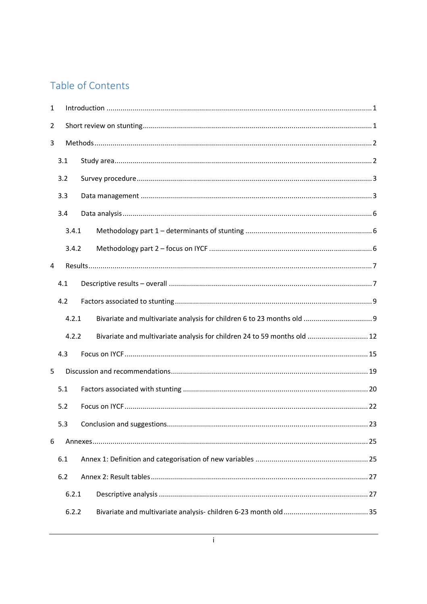## Table of Contents

| $\mathbf{1}$ |       |                                                                          |  |  |  |  |  |  |  |
|--------------|-------|--------------------------------------------------------------------------|--|--|--|--|--|--|--|
| 2            |       |                                                                          |  |  |  |  |  |  |  |
| 3            |       |                                                                          |  |  |  |  |  |  |  |
|              | 3.1   |                                                                          |  |  |  |  |  |  |  |
|              | 3.2   |                                                                          |  |  |  |  |  |  |  |
|              | 3.3   |                                                                          |  |  |  |  |  |  |  |
|              | 3.4   |                                                                          |  |  |  |  |  |  |  |
|              | 3.4.1 |                                                                          |  |  |  |  |  |  |  |
|              | 3.4.2 |                                                                          |  |  |  |  |  |  |  |
| 4            |       |                                                                          |  |  |  |  |  |  |  |
|              | 4.1   |                                                                          |  |  |  |  |  |  |  |
|              | 4.2   |                                                                          |  |  |  |  |  |  |  |
|              | 4.2.1 |                                                                          |  |  |  |  |  |  |  |
|              | 4.2.2 | Bivariate and multivariate analysis for children 24 to 59 months old  12 |  |  |  |  |  |  |  |
|              | 4.3   |                                                                          |  |  |  |  |  |  |  |
| 5            |       |                                                                          |  |  |  |  |  |  |  |
|              | 5.1   |                                                                          |  |  |  |  |  |  |  |
|              | 5.2   |                                                                          |  |  |  |  |  |  |  |
|              | 5.3   |                                                                          |  |  |  |  |  |  |  |
| 6            |       |                                                                          |  |  |  |  |  |  |  |
|              | 6.1   |                                                                          |  |  |  |  |  |  |  |
|              | 6.2   |                                                                          |  |  |  |  |  |  |  |
|              | 6.2.1 |                                                                          |  |  |  |  |  |  |  |
|              | 6.2.2 |                                                                          |  |  |  |  |  |  |  |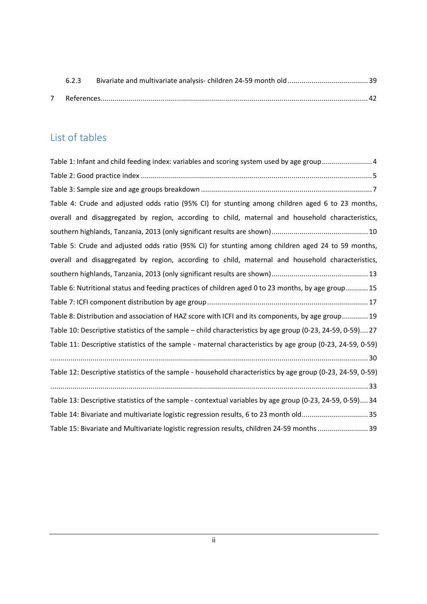| 6.2.3 |  |
|-------|--|
|       |  |

## List of tables

| Table 1: Infant and child feeding index: variables and scoring system used by age group4                    |
|-------------------------------------------------------------------------------------------------------------|
|                                                                                                             |
|                                                                                                             |
| Table 4: Crude and adjusted odds ratio (95% CI) for stunting among children aged 6 to 23 months,            |
| overall and disaggregated by region, according to child, maternal and household characteristics,            |
|                                                                                                             |
| Table 5: Crude and adjusted odds ratio (95% CI) for stunting among children aged 24 to 59 months,           |
| overall and disaggregated by region, according to child, maternal and household characteristics,            |
|                                                                                                             |
| Table 6: Nutritional status and feeding practices of children aged 0 to 23 months, by age group 15          |
|                                                                                                             |
| Table 8: Distribution and association of HAZ score with ICFI and its components, by age group 19            |
| Table 10: Descriptive statistics of the sample – child characteristics by age group (0-23, 24-59, 0-59) 27  |
| Table 11: Descriptive statistics of the sample - maternal characteristics by age group (0-23, 24-59, 0-59)  |
|                                                                                                             |
| Table 12: Descriptive statistics of the sample - household characteristics by age group (0-23, 24-59, 0-59) |
|                                                                                                             |
| Table 13: Descriptive statistics of the sample - contextual variables by age group (0-23, 24-59, 0-59) 34   |
| Table 14: Bivariate and multivariate logistic regression results, 6 to 23 month old35                       |
| Table 15: Bivariate and Multivariate logistic regression results, children 24-59 months  39                 |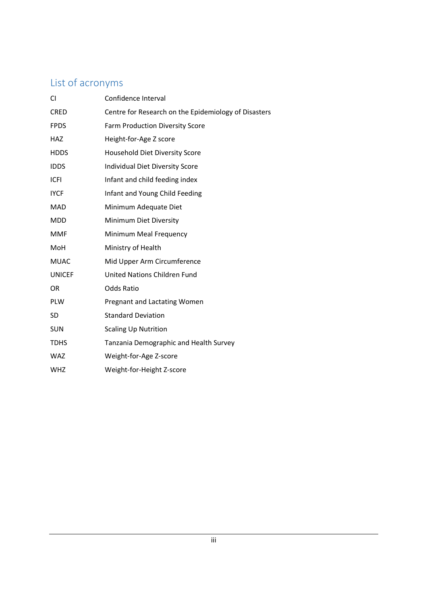## List of acronyms

| CI            | Confidence Interval                                  |
|---------------|------------------------------------------------------|
| <b>CRED</b>   | Centre for Research on the Epidemiology of Disasters |
| <b>FPDS</b>   | Farm Production Diversity Score                      |
| HAZ           | Height-for-Age Z score                               |
| <b>HDDS</b>   | <b>Household Diet Diversity Score</b>                |
| <b>IDDS</b>   | Individual Diet Diversity Score                      |
| <b>ICFI</b>   | Infant and child feeding index                       |
| <b>IYCF</b>   | Infant and Young Child Feeding                       |
| <b>MAD</b>    | Minimum Adequate Diet                                |
| <b>MDD</b>    | Minimum Diet Diversity                               |
| <b>MMF</b>    | Minimum Meal Frequency                               |
| MoH           | Ministry of Health                                   |
| <b>MUAC</b>   | Mid Upper Arm Circumference                          |
| <b>UNICEF</b> | <b>United Nations Children Fund</b>                  |
| OR            | <b>Odds Ratio</b>                                    |
| <b>PLW</b>    | Pregnant and Lactating Women                         |
| <b>SD</b>     | <b>Standard Deviation</b>                            |
| <b>SUN</b>    | <b>Scaling Up Nutrition</b>                          |
| <b>TDHS</b>   | Tanzania Demographic and Health Survey               |
| <b>WAZ</b>    | Weight-for-Age Z-score                               |
| <b>WHZ</b>    | Weight-for-Height Z-score                            |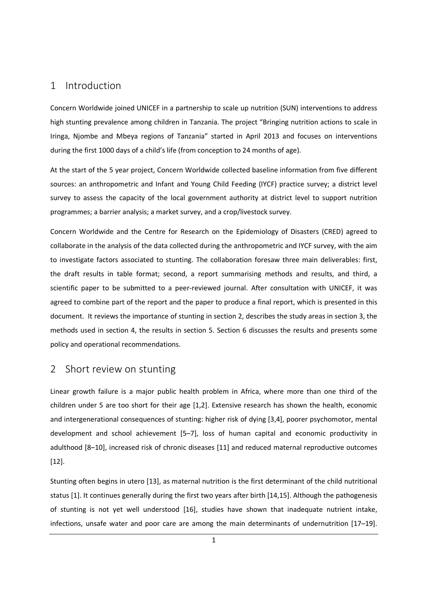## 1 Introduction

Concern Worldwide joined UNICEF in a partnership to scale up nutrition (SUN) interventions to address high stunting prevalence among children in Tanzania. The project "Bringing nutrition actions to scale in Iringa, Njombe and Mbeya regions of Tanzania" started in April 2013 and focuses on interventions during the first 1000 days of a child's life (from conception to 24 months of age).

At the start of the 5 year project, Concern Worldwide collected baseline information from five different sources: an anthropometric and Infant and Young Child Feeding (IYCF) practice survey; a district level survey to assess the capacity of the local government authority at district level to support nutrition programmes; a barrier analysis; a market survey, and a crop/livestock survey.

Concern Worldwide and the Centre for Research on the Epidemiology of Disasters (CRED) agreed to collaborate in the analysis of the data collected during the anthropometric and IYCF survey, with the aim to investigate factors associated to stunting. The collaboration foresaw three main deliverables: first, the draft results in table format; second, a report summarising methods and results, and third, a scientific paper to be submitted to a peer-reviewed journal. After consultation with UNICEF, it was agreed to combine part of the report and the paper to produce a final report, which is presented in this document. It reviews the importance of stunting in section 2, describes the study areas in section 3, the methods used in section 4, the results in section 5. Section 6 discusses the results and presents some policy and operational recommendations.

### 2 Short review on stunting

Linear growth failure is a major public health problem in Africa, where more than one third of the children under 5 are too short for their age [1,2]. Extensive research has shown the health, economic and intergenerational consequences of stunting: higher risk of dying [3,4], poorer psychomotor, mental development and school achievement [5–7], loss of human capital and economic productivity in adulthood [8–10], increased risk of chronic diseases [11] and reduced maternal reproductive outcomes [12].

Stunting often begins in utero [13], as maternal nutrition is the first determinant of the child nutritional status [1]. It continues generally during the first two years after birth [14,15]. Although the pathogenesis of stunting is not yet well understood [16], studies have shown that inadequate nutrient intake, infections, unsafe water and poor care are among the main determinants of undernutrition [17–19].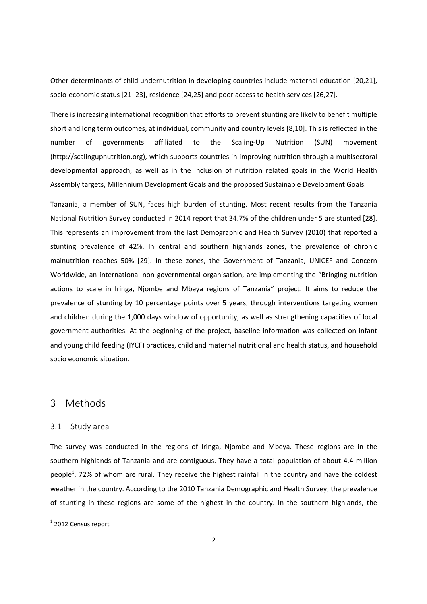Other determinants of child undernutrition in developing countries include maternal education [20,21], socio-economic status [21–23], residence [24,25] and poor access to health services [26,27].

There is increasing international recognition that efforts to prevent stunting are likely to benefit multiple short and long term outcomes, at individual, community and country levels [8,10]. This is reflected in the number of governments affiliated to the Scaling-Up Nutrition (SUN) movement (http://scalingupnutrition.org), which supports countries in improving nutrition through a multisectoral developmental approach, as well as in the inclusion of nutrition related goals in the World Health Assembly targets, Millennium Development Goals and the proposed Sustainable Development Goals.

Tanzania, a member of SUN, faces high burden of stunting. Most recent results from the Tanzania National Nutrition Survey conducted in 2014 report that 34.7% of the children under 5 are stunted [28]. This represents an improvement from the last Demographic and Health Survey (2010) that reported a stunting prevalence of 42%. In central and southern highlands zones, the prevalence of chronic malnutrition reaches 50% [29]. In these zones, the Government of Tanzania, UNICEF and Concern Worldwide, an international non-governmental organisation, are implementing the "Bringing nutrition actions to scale in Iringa, Njombe and Mbeya regions of Tanzania" project. It aims to reduce the prevalence of stunting by 10 percentage points over 5 years, through interventions targeting women and children during the 1,000 days window of opportunity, as well as strengthening capacities of local government authorities. At the beginning of the project, baseline information was collected on infant and young child feeding (IYCF) practices, child and maternal nutritional and health status, and household socio economic situation.

### 3 Methods

#### 3.1 Study area

The survey was conducted in the regions of Iringa, Njombe and Mbeya. These regions are in the southern highlands of Tanzania and are contiguous. They have a total population of about 4.4 million people<sup>1</sup>, 72% of whom are rural. They receive the highest rainfall in the country and have the coldest weather in the country. According to the 2010 Tanzania Demographic and Health Survey, the prevalence of stunting in these regions are some of the highest in the country. In the southern highlands, the

.<br>-

 $1$  2012 Census report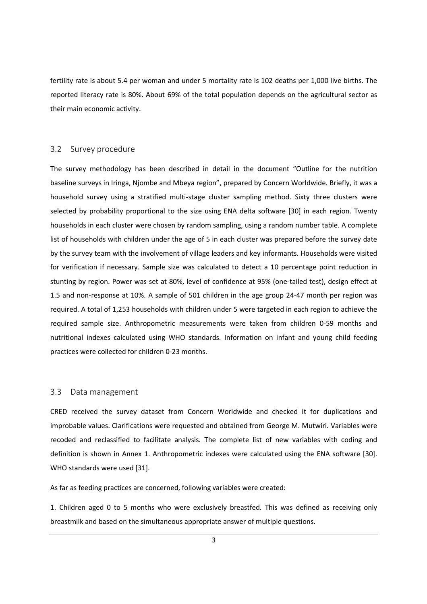fertility rate is about 5.4 per woman and under 5 mortality rate is 102 deaths per 1,000 live births. The reported literacy rate is 80%. About 69% of the total population depends on the agricultural sector as their main economic activity.

#### 3.2 Survey procedure

The survey methodology has been described in detail in the document "Outline for the nutrition baseline surveys in Iringa, Njombe and Mbeya region", prepared by Concern Worldwide. Briefly, it was a household survey using a stratified multi-stage cluster sampling method. Sixty three clusters were selected by probability proportional to the size using ENA delta software [30] in each region. Twenty households in each cluster were chosen by random sampling, using a random number table. A complete list of households with children under the age of 5 in each cluster was prepared before the survey date by the survey team with the involvement of village leaders and key informants. Households were visited for verification if necessary. Sample size was calculated to detect a 10 percentage point reduction in stunting by region. Power was set at 80%, level of confidence at 95% (one-tailed test), design effect at 1.5 and non-response at 10%. A sample of 501 children in the age group 24-47 month per region was required. A total of 1,253 households with children under 5 were targeted in each region to achieve the required sample size. Anthropometric measurements were taken from children 0-59 months and nutritional indexes calculated using WHO standards. Information on infant and young child feeding practices were collected for children 0-23 months.

#### 3.3 Data management

CRED received the survey dataset from Concern Worldwide and checked it for duplications and improbable values. Clarifications were requested and obtained from George M. Mutwiri. Variables were recoded and reclassified to facilitate analysis. The complete list of new variables with coding and definition is shown in Annex 1. Anthropometric indexes were calculated using the ENA software [30]. WHO standards were used [31].

As far as feeding practices are concerned, following variables were created:

1. Children aged 0 to 5 months who were exclusively breastfed. This was defined as receiving only breastmilk and based on the simultaneous appropriate answer of multiple questions.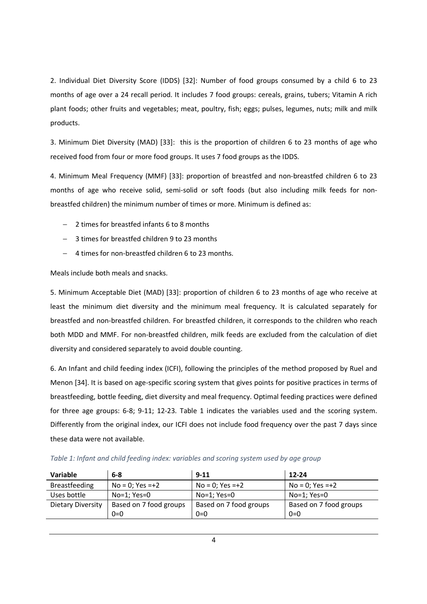2. Individual Diet Diversity Score (IDDS) [32]: Number of food groups consumed by a child 6 to 23 months of age over a 24 recall period. It includes 7 food groups: cereals, grains, tubers; Vitamin A rich plant foods; other fruits and vegetables; meat, poultry, fish; eggs; pulses, legumes, nuts; milk and milk products.

3. Minimum Diet Diversity (MAD) [33]: this is the proportion of children 6 to 23 months of age who received food from four or more food groups. It uses 7 food groups as the IDDS.

4. Minimum Meal Frequency (MMF) [33]: proportion of breastfed and non-breastfed children 6 to 23 months of age who receive solid, semi-solid or soft foods (but also including milk feeds for nonbreastfed children) the minimum number of times or more. Minimum is defined as:

- − 2 times for breastfed infants 6 to 8 months
- − 3 times for breastfed children 9 to 23 months
- − 4 times for non-breastfed children 6 to 23 months.

Meals include both meals and snacks.

5. Minimum Acceptable Diet (MAD) [33]: proportion of children 6 to 23 months of age who receive at least the minimum diet diversity and the minimum meal frequency. It is calculated separately for breastfed and non-breastfed children. For breastfed children, it corresponds to the children who reach both MDD and MMF. For non-breastfed children, milk feeds are excluded from the calculation of diet diversity and considered separately to avoid double counting.

6. An Infant and child feeding index (ICFI), following the principles of the method proposed by Ruel and Menon [34]. It is based on age-specific scoring system that gives points for positive practices in terms of breastfeeding, bottle feeding, diet diversity and meal frequency. Optimal feeding practices were defined for three age groups: 6-8; 9-11; 12-23. Table 1 indicates the variables used and the scoring system. Differently from the original index, our ICFI does not include food frequency over the past 7 days since these data were not available.

| <b>Variable</b>   | $6 - 8$                | $9 - 11$               | 12-24                  |
|-------------------|------------------------|------------------------|------------------------|
| Breastfeeding     | $No = 0$ ; Yes =+2     | $No = 0$ ; Yes =+2     | $No = 0$ ; Yes =+2     |
| Uses bottle       | $No=1: Yes=0$          | $No=1: Yes=0$          | $No=1: Yes=0$          |
| Dietary Diversity | Based on 7 food groups | Based on 7 food groups | Based on 7 food groups |
|                   | $0=0$                  | $0=0$                  | $0=0$                  |

Table 1: Infant and child feeding index: variables and scoring system used by age group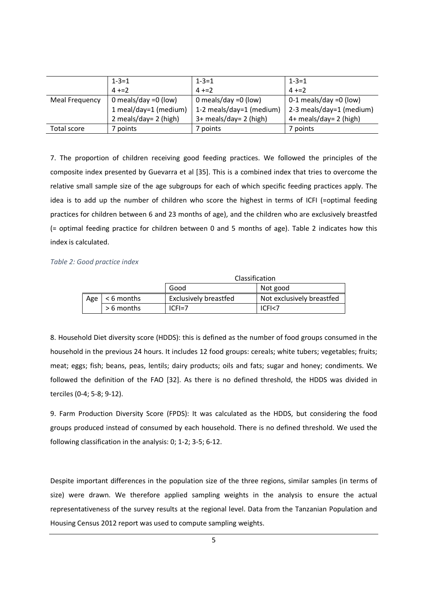|                | $1 - 3 = 1$             | $1 - 3 = 1$              | $1 - 3 = 1$              |
|----------------|-------------------------|--------------------------|--------------------------|
|                | $4 + 2$                 | $4 + 2$                  | $4 + 2$                  |
| Meal Frequency | 0 meals/day = $0$ (low) | 0 meals/day = $0$ (low)  | $0-1$ meals/day =0 (low) |
|                | 1 meal/day=1 (medium)   | 1-2 meals/day=1 (medium) | 2-3 meals/day=1 (medium) |
|                | 2 meals/day= 2 (high)   | 3+ meals/day= 2 (high)   | 4+ meals/day= 2 (high)   |
| Total score    | 7 points                | 7 points                 | 7 points                 |

7. The proportion of children receiving good feeding practices. We followed the principles of the composite index presented by Guevarra et al [35]. This is a combined index that tries to overcome the relative small sample size of the age subgroups for each of which specific feeding practices apply. The idea is to add up the number of children who score the highest in terms of ICFI (=optimal feeding practices for children between 6 and 23 months of age), and the children who are exclusively breastfed (= optimal feeding practice for children between 0 and 5 months of age). Table 2 indicates how this index is calculated.

#### Table 2: Good practice index

|     |              | Classification        |                           |  |  |  |  |
|-----|--------------|-----------------------|---------------------------|--|--|--|--|
|     |              | Good                  | Not good                  |  |  |  |  |
| Age | $<$ 6 months | Exclusively breastfed | Not exclusively breastfed |  |  |  |  |
|     | $> 6$ months | $ CFI=7$              | ICFI<7                    |  |  |  |  |

8. Household Diet diversity score (HDDS): this is defined as the number of food groups consumed in the household in the previous 24 hours. It includes 12 food groups: cereals; white tubers; vegetables; fruits; meat; eggs; fish; beans, peas, lentils; dairy products; oils and fats; sugar and honey; condiments. We followed the definition of the FAO [32]. As there is no defined threshold, the HDDS was divided in terciles (0-4; 5-8; 9-12).

9. Farm Production Diversity Score (FPDS): It was calculated as the HDDS, but considering the food groups produced instead of consumed by each household. There is no defined threshold. We used the following classification in the analysis: 0; 1-2; 3-5; 6-12.

Despite important differences in the population size of the three regions, similar samples (in terms of size) were drawn. We therefore applied sampling weights in the analysis to ensure the actual representativeness of the survey results at the regional level. Data from the Tanzanian Population and Housing Census 2012 report was used to compute sampling weights.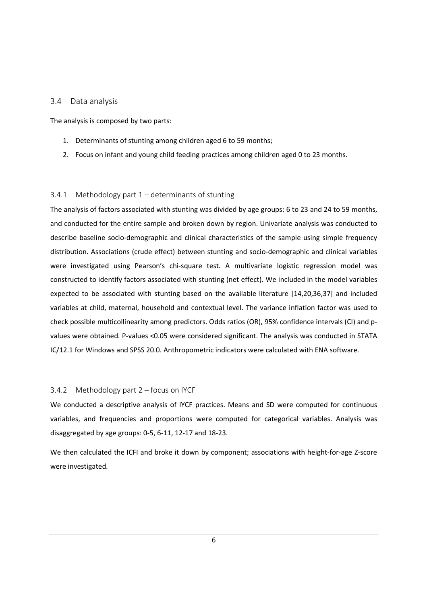#### 3.4 Data analysis

The analysis is composed by two parts:

- 1. Determinants of stunting among children aged 6 to 59 months;
- 2. Focus on infant and young child feeding practices among children aged 0 to 23 months.

#### 3.4.1 Methodology part 1 – determinants of stunting

The analysis of factors associated with stunting was divided by age groups: 6 to 23 and 24 to 59 months, and conducted for the entire sample and broken down by region. Univariate analysis was conducted to describe baseline socio-demographic and clinical characteristics of the sample using simple frequency distribution. Associations (crude effect) between stunting and socio-demographic and clinical variables were investigated using Pearson's chi-square test. A multivariate logistic regression model was constructed to identify factors associated with stunting (net effect). We included in the model variables expected to be associated with stunting based on the available literature [14,20,36,37] and included variables at child, maternal, household and contextual level. The variance inflation factor was used to check possible multicollinearity among predictors. Odds ratios (OR), 95% confidence intervals (CI) and pvalues were obtained. P-values <0.05 were considered significant. The analysis was conducted in STATA IC/12.1 for Windows and SPSS 20.0. Anthropometric indicators were calculated with ENA software.

#### 3.4.2 Methodology part 2 – focus on IYCF

We conducted a descriptive analysis of IYCF practices. Means and SD were computed for continuous variables, and frequencies and proportions were computed for categorical variables. Analysis was disaggregated by age groups: 0-5, 6-11, 12-17 and 18-23.

We then calculated the ICFI and broke it down by component; associations with height-for-age Z-score were investigated.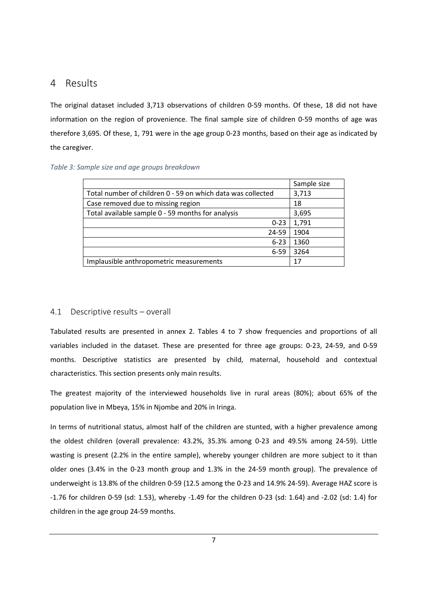## 4 Results

The original dataset included 3,713 observations of children 0-59 months. Of these, 18 did not have information on the region of provenience. The final sample size of children 0-59 months of age was therefore 3,695. Of these, 1, 791 were in the age group 0-23 months, based on their age as indicated by the caregiver.

|                                                             | Sample size |
|-------------------------------------------------------------|-------------|
| Total number of children 0 - 59 on which data was collected | 3,713       |
| Case removed due to missing region                          | 18          |
| Total available sample 0 - 59 months for analysis           | 3,695       |
| $0 - 23$                                                    | 1,791       |
| 24-59                                                       | 1904        |
| $6 - 23$                                                    | 1360        |
| $6 - 59$                                                    | 3264        |
| Implausible anthropometric measurements                     | 17          |

#### 4.1 Descriptive results – overall

Tabulated results are presented in annex 2. Tables 4 to 7 show frequencies and proportions of all variables included in the dataset. These are presented for three age groups: 0-23, 24-59, and 0-59 months. Descriptive statistics are presented by child, maternal, household and contextual characteristics. This section presents only main results.

The greatest majority of the interviewed households live in rural areas (80%); about 65% of the population live in Mbeya, 15% in Njombe and 20% in Iringa.

In terms of nutritional status, almost half of the children are stunted, with a higher prevalence among the oldest children (overall prevalence: 43.2%, 35.3% among 0-23 and 49.5% among 24-59). Little wasting is present (2.2% in the entire sample), whereby younger children are more subject to it than older ones (3.4% in the 0-23 month group and 1.3% in the 24-59 month group). The prevalence of underweight is 13.8% of the children 0-59 (12.5 among the 0-23 and 14.9% 24-59). Average HAZ score is -1.76 for children 0-59 (sd: 1.53), whereby -1.49 for the children 0-23 (sd: 1.64) and -2.02 (sd: 1.4) for children in the age group 24-59 months.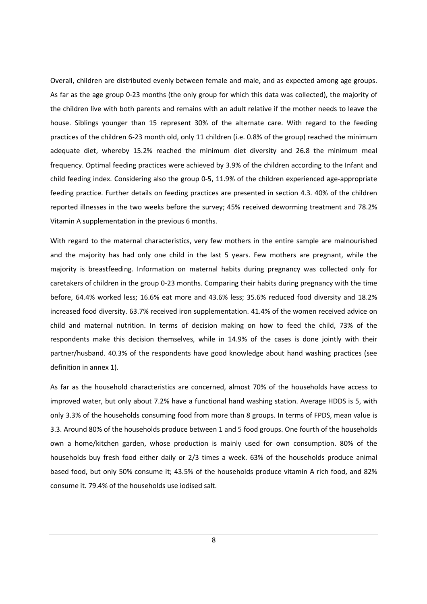Overall, children are distributed evenly between female and male, and as expected among age groups. As far as the age group 0-23 months (the only group for which this data was collected), the majority of the children live with both parents and remains with an adult relative if the mother needs to leave the house. Siblings younger than 15 represent 30% of the alternate care. With regard to the feeding practices of the children 6-23 month old, only 11 children (i.e. 0.8% of the group) reached the minimum adequate diet, whereby 15.2% reached the minimum diet diversity and 26.8 the minimum meal frequency. Optimal feeding practices were achieved by 3.9% of the children according to the Infant and child feeding index. Considering also the group 0-5, 11.9% of the children experienced age-appropriate feeding practice. Further details on feeding practices are presented in section 4.3. 40% of the children reported illnesses in the two weeks before the survey; 45% received deworming treatment and 78.2% Vitamin A supplementation in the previous 6 months.

With regard to the maternal characteristics, very few mothers in the entire sample are malnourished and the majority has had only one child in the last 5 years. Few mothers are pregnant, while the majority is breastfeeding. Information on maternal habits during pregnancy was collected only for caretakers of children in the group 0-23 months. Comparing their habits during pregnancy with the time before, 64.4% worked less; 16.6% eat more and 43.6% less; 35.6% reduced food diversity and 18.2% increased food diversity. 63.7% received iron supplementation. 41.4% of the women received advice on child and maternal nutrition. In terms of decision making on how to feed the child, 73% of the respondents make this decision themselves, while in 14.9% of the cases is done jointly with their partner/husband. 40.3% of the respondents have good knowledge about hand washing practices (see definition in annex 1).

As far as the household characteristics are concerned, almost 70% of the households have access to improved water, but only about 7.2% have a functional hand washing station. Average HDDS is 5, with only 3.3% of the households consuming food from more than 8 groups. In terms of FPDS, mean value is 3.3. Around 80% of the households produce between 1 and 5 food groups. One fourth of the households own a home/kitchen garden, whose production is mainly used for own consumption. 80% of the households buy fresh food either daily or 2/3 times a week. 63% of the households produce animal based food, but only 50% consume it; 43.5% of the households produce vitamin A rich food, and 82% consume it. 79.4% of the households use iodised salt.

8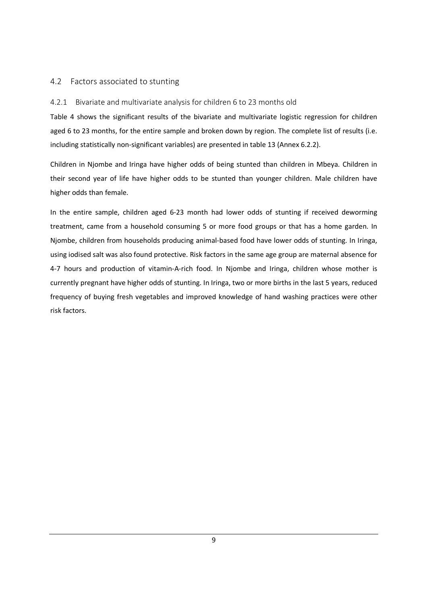#### 4.2 Factors associated to stunting

#### 4.2.1 Bivariate and multivariate analysis for children 6 to 23 months old

Table 4 shows the significant results of the bivariate and multivariate logistic regression for children aged 6 to 23 months, for the entire sample and broken down by region. The complete list of results (i.e. including statistically non-significant variables) are presented in table 13 (Annex 6.2.2).

Children in Njombe and Iringa have higher odds of being stunted than children in Mbeya. Children in their second year of life have higher odds to be stunted than younger children. Male children have higher odds than female.

In the entire sample, children aged 6-23 month had lower odds of stunting if received deworming treatment, came from a household consuming 5 or more food groups or that has a home garden. In Njombe, children from households producing animal-based food have lower odds of stunting. In Iringa, using iodised salt was also found protective. Risk factors in the same age group are maternal absence for 4-7 hours and production of vitamin-A-rich food. In Njombe and Iringa, children whose mother is currently pregnant have higher odds of stunting. In Iringa, two or more births in the last 5 years, reduced frequency of buying fresh vegetables and improved knowledge of hand washing practices were other risk factors.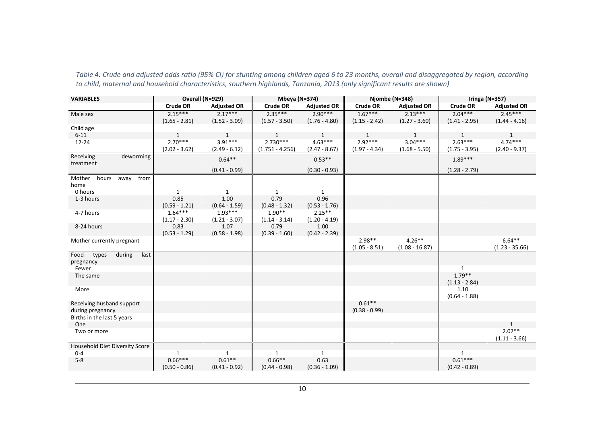| <b>VARIABLES</b>                    | Overall (N=929) |                    | Mbeya (N=374)     |                    | Njombe (N=348)  |                    | Iringa ( $N=357$ ) |                    |
|-------------------------------------|-----------------|--------------------|-------------------|--------------------|-----------------|--------------------|--------------------|--------------------|
|                                     | <b>Crude OR</b> | <b>Adjusted OR</b> | Crude OR          | <b>Adjusted OR</b> | <b>Crude OR</b> | <b>Adjusted OR</b> | Crude OR           | <b>Adjusted OR</b> |
| Male sex                            | $2.15***$       | $2.17***$          | $2.35***$         | $2.90***$          | $1.67***$       | $2.13***$          | $2.04***$          | $2.45***$          |
|                                     | $(1.65 - 2.81)$ | $(1.52 - 3.09)$    | $(1.57 - 3.50)$   | $(1.76 - 4.80)$    | $(1.15 - 2.42)$ | $(1.27 - 3.60)$    | $(1.41 - 2.95)$    | $(1.44 - 4.16)$    |
| Child age                           |                 |                    |                   |                    |                 |                    |                    |                    |
| $6 - 11$                            | $\mathbf{1}$    | $\mathbf{1}$       | $\mathbf{1}$      | $\mathbf{1}$       | $\mathbf{1}$    | $\mathbf{1}$       | $\mathbf{1}$       | $\mathbf{1}$       |
| $12 - 24$                           | $2.70***$       | $3.91***$          | $2.730***$        | $4.63***$          | $2.92***$       | $3.04***$          | $2.63***$          | $4.74***$          |
|                                     | $(2.02 - 3.62)$ | $(2.49 - 6.12)$    | $(1.751 - 4.256)$ | $(2.47 - 8.67)$    | $(1.97 - 4.34)$ | $(1.68 - 5.50)$    | $(1.75 - 3.95)$    | $(2.40 - 9.37)$    |
| Receiving<br>deworming<br>treatment |                 | $0.64**$           |                   | $0.53**$           |                 |                    | $1.89***$          |                    |
|                                     |                 | $(0.41 - 0.99)$    |                   | $(0.30 - 0.93)$    |                 |                    | $(1.28 - 2.79)$    |                    |
| Mother hours<br>from<br>away        |                 |                    |                   |                    |                 |                    |                    |                    |
| home                                |                 |                    |                   |                    |                 |                    |                    |                    |
| 0 hours                             | $\mathbf{1}$    | $\mathbf{1}$       | 1                 | $\mathbf{1}$       |                 |                    |                    |                    |
| 1-3 hours                           | 0.85            | 1.00               | 0.79              | 0.96               |                 |                    |                    |                    |
|                                     | $(0.59 - 1.21)$ | $(0.64 - 1.59)$    | $(0.48 - 1.32)$   | $(0.53 - 1.76)$    |                 |                    |                    |                    |
| 4-7 hours                           | $1.64***$       | $1.93***$          | $1.90**$          | $2.25***$          |                 |                    |                    |                    |
|                                     | $(1.17 - 2.30)$ | $(1.21 - 3.07)$    | $(1.14 - 3.14)$   | $(1.20 - 4.19)$    |                 |                    |                    |                    |
| 8-24 hours                          | 0.83            | 1.07               | 0.79              | 1.00               |                 |                    |                    |                    |
| Mother currently pregnant           | $(0.53 - 1.29)$ | $(0.58 - 1.98)$    | $(0.39 - 1.60)$   | $(0.42 - 2.39)$    | $2.98**$        | $4.26***$          |                    | $6.64***$          |
|                                     |                 |                    |                   |                    | $(1.05 - 8.51)$ | $(1.08 - 16.87)$   |                    | $(1.23 - 35.66)$   |
| Food types<br>during<br>last        |                 |                    |                   |                    |                 |                    |                    |                    |
| pregnancy                           |                 |                    |                   |                    |                 |                    |                    |                    |
| Fewer                               |                 |                    |                   |                    |                 |                    | $\mathbf{1}$       |                    |
| The same                            |                 |                    |                   |                    |                 |                    | $1.79**$           |                    |
|                                     |                 |                    |                   |                    |                 |                    | $(1.13 - 2.84)$    |                    |
| More                                |                 |                    |                   |                    |                 |                    | 1.10               |                    |
|                                     |                 |                    |                   |                    |                 |                    | $(0.64 - 1.88)$    |                    |
| Receiving husband support           |                 |                    |                   |                    | $0.61***$       |                    |                    |                    |
| during pregnancy                    |                 |                    |                   |                    | $(0.38 - 0.99)$ |                    |                    |                    |
| Births in the last 5 years          |                 |                    |                   |                    |                 |                    |                    |                    |
| One                                 |                 |                    |                   |                    |                 |                    |                    | 1<br>$2.02**$      |
| Two or more                         |                 |                    |                   |                    |                 |                    |                    | $(1.11 - 3.66)$    |
| Household Diet Diversity Score      |                 |                    |                   |                    |                 |                    |                    |                    |
| $0 - 4$                             | 1               | $\mathbf{1}$       | 1                 | 1                  |                 |                    | 1                  |                    |
| $5 - 8$                             | $0.66***$       | $0.61**$           | $0.66**$          | 0.63               |                 |                    | $0.61***$          |                    |
|                                     | $(0.50 - 0.86)$ | $(0.41 - 0.92)$    | $(0.44 - 0.98)$   | $(0.36 - 1.09)$    |                 |                    | $(0.42 - 0.89)$    |                    |

Table 4: Crude and adjusted odds ratio (95% CI) for stunting among children aged 6 to 23 months, overall and disaggregated by region, according to child, maternal and household characteristics, southern highlands, Tanzania, 2013 (only significant results are shown)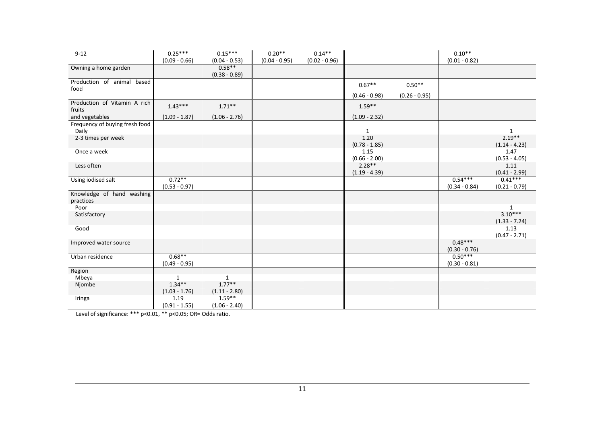| $9 - 12$                                | $0.25***$<br>$(0.09 - 0.66)$ | $0.15***$<br>$(0.04 - 0.53)$ | $0.20**$<br>$(0.04 - 0.95)$ | $0.14**$<br>$(0.02 - 0.96)$ |                             |                 | $0.10**$<br>$(0.01 - 0.82)$  |                              |
|-----------------------------------------|------------------------------|------------------------------|-----------------------------|-----------------------------|-----------------------------|-----------------|------------------------------|------------------------------|
| Owning a home garden                    |                              | $0.58**$<br>$(0.38 - 0.89)$  |                             |                             |                             |                 |                              |                              |
| Production of animal based<br>food      |                              |                              |                             |                             | $0.67**$                    | $0.50**$        |                              |                              |
|                                         |                              |                              |                             |                             | $(0.46 - 0.98)$             | $(0.26 - 0.95)$ |                              |                              |
| Production of Vitamin A rich<br>fruits  | $1.43***$                    | $1.71***$                    |                             |                             | $1.59**$                    |                 |                              |                              |
| and vegetables                          | $(1.09 - 1.87)$              | $(1.06 - 2.76)$              |                             |                             | $(1.09 - 2.32)$             |                 |                              |                              |
| Frequency of buying fresh food<br>Daily |                              |                              |                             |                             | 1                           |                 |                              | 1                            |
| 2-3 times per week                      |                              |                              |                             |                             | 1.20<br>$(0.78 - 1.85)$     |                 |                              | $2.19***$<br>$(1.14 - 4.23)$ |
| Once a week                             |                              |                              |                             |                             | 1.15<br>$(0.66 - 2.00)$     |                 |                              | 1.47<br>$(0.53 - 4.05)$      |
| Less often                              |                              |                              |                             |                             | $2.28**$<br>$(1.19 - 4.39)$ |                 |                              | 1.11<br>$(0.41 - 2.99)$      |
| Using iodised salt                      | $0.72***$<br>$(0.53 - 0.97)$ |                              |                             |                             |                             |                 | $0.54***$<br>$(0.34 - 0.84)$ | $0.41***$<br>$(0.21 - 0.79)$ |
| Knowledge of hand washing<br>practices  |                              |                              |                             |                             |                             |                 |                              |                              |
| Poor                                    |                              |                              |                             |                             |                             |                 |                              | 1                            |
| Satisfactory                            |                              |                              |                             |                             |                             |                 |                              | $3.10***$<br>$(1.33 - 7.24)$ |
| Good                                    |                              |                              |                             |                             |                             |                 |                              | 1.13<br>$(0.47 - 2.71)$      |
| Improved water source                   |                              |                              |                             |                             |                             |                 | $0.48***$<br>$(0.30 - 0.76)$ |                              |
| Urban residence                         | $0.68***$<br>$(0.49 - 0.95)$ |                              |                             |                             |                             |                 | $0.50***$<br>$(0.30 - 0.81)$ |                              |
| Region                                  |                              |                              |                             |                             |                             |                 |                              |                              |
| Mbeya                                   | 1                            | $\mathbf{1}$                 |                             |                             |                             |                 |                              |                              |
| Njombe                                  | $1.34***$                    | $1.77***$                    |                             |                             |                             |                 |                              |                              |
|                                         | $(1.03 - 1.76)$              | $(1.11 - 2.80)$              |                             |                             |                             |                 |                              |                              |
| Iringa                                  | 1.19<br>$(0.91 - 1.55)$      | $1.59***$<br>$(1.06 - 2.40)$ |                             |                             |                             |                 |                              |                              |

Level of significance: \*\*\* p<0.01, \*\* p<0.05; OR= Odds ratio.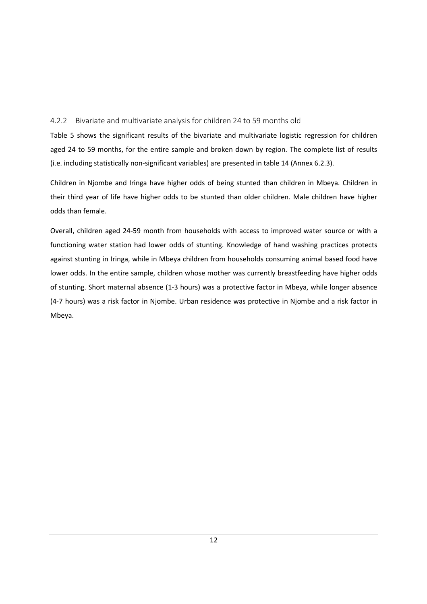#### 4.2.2 Bivariate and multivariate analysis for children 24 to 59 months old

Table 5 shows the significant results of the bivariate and multivariate logistic regression for children aged 24 to 59 months, for the entire sample and broken down by region. The complete list of results (i.e. including statistically non-significant variables) are presented in table 14 (Annex 6.2.3).

Children in Njombe and Iringa have higher odds of being stunted than children in Mbeya. Children in their third year of life have higher odds to be stunted than older children. Male children have higher odds than female.

Overall, children aged 24-59 month from households with access to improved water source or with a functioning water station had lower odds of stunting. Knowledge of hand washing practices protects against stunting in Iringa, while in Mbeya children from households consuming animal based food have lower odds. In the entire sample, children whose mother was currently breastfeeding have higher odds of stunting. Short maternal absence (1-3 hours) was a protective factor in Mbeya, while longer absence (4-7 hours) was a risk factor in Njombe. Urban residence was protective in Njombe and a risk factor in Mbeya.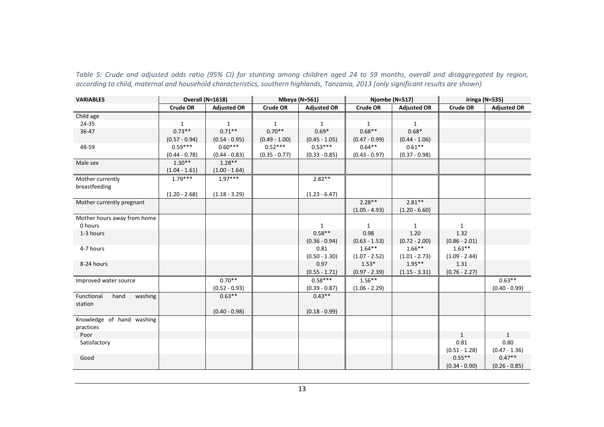Table 5: Crude and adjusted odds ratio (95% CI) for stunting among children aged 24 to 59 months, overall and disaggregated by region, according to child, maternal and household characteristics, southern highlands, Tanzania, 2013 (only significant results are shown)

| <b>VARIABLES</b>              | Overall (N=1618) |                    | <b>Mbeya (N=561)</b> |                    | Njombe (N=517)  |                    | <b>Iringa (N=535)</b> |                    |
|-------------------------------|------------------|--------------------|----------------------|--------------------|-----------------|--------------------|-----------------------|--------------------|
|                               | <b>Crude OR</b>  | <b>Adjusted OR</b> | <b>Crude OR</b>      | <b>Adjusted OR</b> | <b>Crude OR</b> | <b>Adjusted OR</b> | <b>Crude OR</b>       | <b>Adjusted OR</b> |
| Child age                     |                  |                    |                      |                    |                 |                    |                       |                    |
| 24-35                         | $\mathbf{1}$     | 1                  | $\mathbf{1}$         | $\mathbf{1}$       | $\mathbf{1}$    | 1                  |                       |                    |
| 36-47                         | $0.73**$         | $0.71**$           | $0.70**$             | $0.69*$            | $0.68**$        | $0.68*$            |                       |                    |
|                               | $(0.57 - 0.94)$  | $(0.54 - 0.95)$    | $(0.49 - 1.00)$      | $(0.45 - 1.05)$    | $(0.47 - 0.99)$ | $(0.44 - 1.06)$    |                       |                    |
| 48-59                         | $0.59***$        | $0.60***$          | $0.52***$            | $0.53***$          | $0.64***$       | $0.61**$           |                       |                    |
|                               | $(0.44 - 0.78)$  | $(0.44 - 0.83)$    | $(0.35 - 0.77)$      | $(0.33 - 0.85)$    | $(0.43 - 0.97)$ | $(0.37 - 0.98)$    |                       |                    |
| Male sex                      | $1.30**$         | $1.28**$           |                      |                    |                 |                    |                       |                    |
|                               | $(1.04 - 1.61)$  | $(1.00 - 1.64)$    |                      |                    |                 |                    |                       |                    |
| Mother currently              | $1.79***$        | $1.97***$          |                      | $2.82**$           |                 |                    |                       |                    |
| breastfeeding                 |                  |                    |                      |                    |                 |                    |                       |                    |
|                               | $(1.20 - 2.68)$  | $(1.18 - 3.29)$    |                      | $(1.23 - 6.47)$    |                 |                    |                       |                    |
| Mother currently pregnant     |                  |                    |                      |                    | $2.28**$        | $2.81***$          |                       |                    |
|                               |                  |                    |                      |                    | $(1.05 - 4.93)$ | $(1.20 - 6.60)$    |                       |                    |
| Mother hours away from home   |                  |                    |                      |                    |                 |                    |                       |                    |
| 0 hours                       |                  |                    |                      | 1                  | 1               | 1                  | $\mathbf{1}$          |                    |
| 1-3 hours                     |                  |                    |                      | $0.58**$           | 0.98            | 1.20               | 1.32                  |                    |
|                               |                  |                    |                      | $(0.36 - 0.94)$    | $(0.63 - 1.53)$ | $(0.72 - 2.00)$    | $(0.86 - 2.01)$       |                    |
| 4-7 hours                     |                  |                    |                      | 0.81               | $1.64***$       | $1.66***$          | $1.63***$             |                    |
|                               |                  |                    |                      | $(0.50 - 1.30)$    | $(1.07 - 2.52)$ | $(1.01 - 2.73)$    | $(1.09 - 2.44)$       |                    |
| 8-24 hours                    |                  |                    |                      | 0.97               | $1.53*$         | $1.95***$          | 1.31                  |                    |
|                               |                  |                    |                      | $(0.55 - 1.71)$    | $(0.97 - 2.39)$ | $(1.15 - 3.31)$    | $(0.76 - 2.27)$       |                    |
| Improved water source         |                  | $0.70**$           |                      | $0.58***$          | $1.56***$       |                    |                       | $0.63***$          |
|                               |                  | $(0.52 - 0.93)$    |                      | $(0.39 - 0.87)$    | $(1.06 - 2.29)$ |                    |                       | $(0.40 - 0.99)$    |
| Functional<br>hand<br>washing |                  | $0.63**$           |                      | $0.43**$           |                 |                    |                       |                    |
| station                       |                  |                    |                      |                    |                 |                    |                       |                    |
|                               |                  | $(0.40 - 0.98)$    |                      | $(0.18 - 0.99)$    |                 |                    |                       |                    |
| Knowledge of hand washing     |                  |                    |                      |                    |                 |                    |                       |                    |
| practices                     |                  |                    |                      |                    |                 |                    |                       |                    |
| Poor                          |                  |                    |                      |                    |                 |                    | 1                     | 1                  |
| Satisfactory                  |                  |                    |                      |                    |                 |                    | 0.81                  | 0.80               |
|                               |                  |                    |                      |                    |                 |                    | $(0.51 - 1.28)$       | $(0.47 - 1.36)$    |
| Good                          |                  |                    |                      |                    |                 |                    | $0.55**$              | $0.47**$           |
|                               |                  |                    |                      |                    |                 |                    | $(0.34 - 0.90)$       | $(0.26 - 0.85)$    |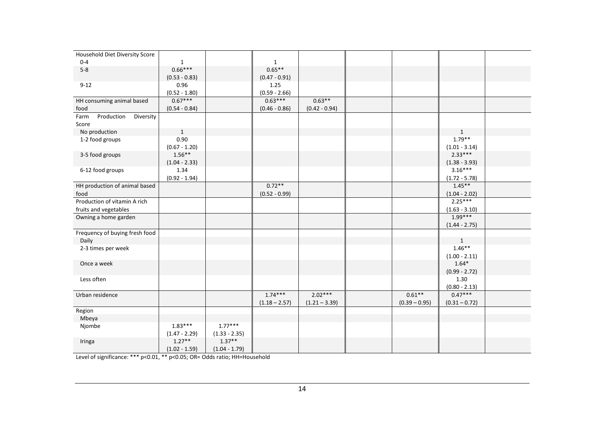| Household Diet Diversity Score  |                 |                 |                 |                 |                 |                 |  |
|---------------------------------|-----------------|-----------------|-----------------|-----------------|-----------------|-----------------|--|
| $0 - 4$                         | $\mathbf{1}$    |                 | $\mathbf{1}$    |                 |                 |                 |  |
| $5 - 8$                         | $0.66***$       |                 | $0.65**$        |                 |                 |                 |  |
|                                 | $(0.53 - 0.83)$ |                 | $(0.47 - 0.91)$ |                 |                 |                 |  |
| $9 - 12$                        | 0.96            |                 | 1.25            |                 |                 |                 |  |
|                                 | $(0.52 - 1.80)$ |                 | $(0.59 - 2.66)$ |                 |                 |                 |  |
| HH consuming animal based       | $0.67***$       |                 | $0.63***$       | $0.63**$        |                 |                 |  |
| food                            | $(0.54 - 0.84)$ |                 | $(0.46 - 0.86)$ | $(0.42 - 0.94)$ |                 |                 |  |
| Farm<br>Production<br>Diversity |                 |                 |                 |                 |                 |                 |  |
| Score                           |                 |                 |                 |                 |                 |                 |  |
| No production                   | $\mathbf{1}$    |                 |                 |                 |                 | $\mathbf{1}$    |  |
| 1-2 food groups                 | 0.90            |                 |                 |                 |                 | $1.79**$        |  |
|                                 | $(0.67 - 1.20)$ |                 |                 |                 |                 | $(1.01 - 3.14)$ |  |
| 3-5 food groups                 | $1.56**$        |                 |                 |                 |                 | $2.33***$       |  |
|                                 | $(1.04 - 2.33)$ |                 |                 |                 |                 | $(1.38 - 3.93)$ |  |
| 6-12 food groups                | 1.34            |                 |                 |                 |                 | $3.16***$       |  |
|                                 | $(0.92 - 1.94)$ |                 |                 |                 |                 | $(1.72 - 5.78)$ |  |
| HH production of animal based   |                 |                 | $0.72**$        |                 |                 | $1.45***$       |  |
| food                            |                 |                 | $(0.52 - 0.99)$ |                 |                 | $(1.04 - 2.02)$ |  |
| Production of vitamin A rich    |                 |                 |                 |                 |                 | $2.25***$       |  |
| fruits and vegetables           |                 |                 |                 |                 |                 | $(1.63 - 3.10)$ |  |
| Owning a home garden            |                 |                 |                 |                 |                 | $1.99***$       |  |
|                                 |                 |                 |                 |                 |                 | $(1.44 - 2.75)$ |  |
| Frequency of buying fresh food  |                 |                 |                 |                 |                 |                 |  |
| Daily                           |                 |                 |                 |                 |                 | $\mathbf{1}$    |  |
| 2-3 times per week              |                 |                 |                 |                 |                 | $1.46**$        |  |
|                                 |                 |                 |                 |                 |                 | $(1.00 - 2.11)$ |  |
| Once a week                     |                 |                 |                 |                 |                 | $1.64*$         |  |
|                                 |                 |                 |                 |                 |                 | $(0.99 - 2.72)$ |  |
| Less often                      |                 |                 |                 |                 |                 | 1.30            |  |
|                                 |                 |                 |                 |                 |                 | $(0.80 - 2.13)$ |  |
| Urban residence                 |                 |                 | $1.74***$       | $2.02***$       | $0.61**$        | $0.47***$       |  |
|                                 |                 |                 | $(1.18 - 2.57)$ | $(1.21 - 3.39)$ | $(0.39 - 0.95)$ | $(0.31 - 0.72)$ |  |
| Region                          |                 |                 |                 |                 |                 |                 |  |
| Mbeya                           |                 |                 |                 |                 |                 |                 |  |
| Njombe                          | $1.83***$       | $1.77***$       |                 |                 |                 |                 |  |
|                                 | $(1.47 - 2.29)$ | $(1.33 - 2.35)$ |                 |                 |                 |                 |  |
| Iringa                          | $1.27**$        | $1.37**$        |                 |                 |                 |                 |  |
|                                 | $(1.02 - 1.59)$ | $(1.04 - 1.79)$ |                 |                 |                 |                 |  |

Level of significance: \*\*\* p<0.01, \*\* p<0.05; OR= Odds ratio; HH=Household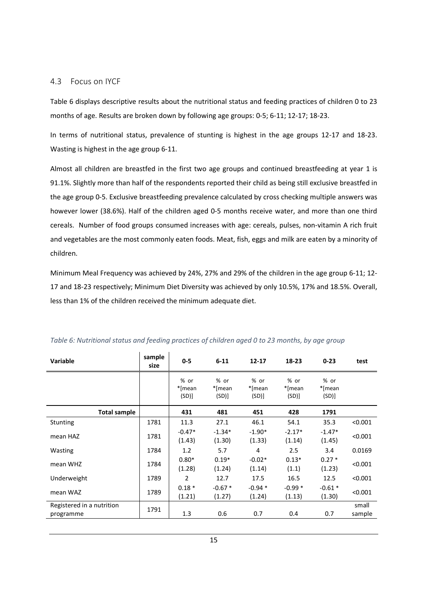#### 4.3 Focus on IYCF

Table 6 displays descriptive results about the nutritional status and feeding practices of children 0 to 23 months of age. Results are broken down by following age groups: 0-5; 6-11; 12-17; 18-23.

In terms of nutritional status, prevalence of stunting is highest in the age groups 12-17 and 18-23. Wasting is highest in the age group 6-11.

Almost all children are breastfed in the first two age groups and continued breastfeeding at year 1 is 91.1%. Slightly more than half of the respondents reported their child as being still exclusive breastfed in the age group 0-5. Exclusive breastfeeding prevalence calculated by cross checking multiple answers was however lower (38.6%). Half of the children aged 0-5 months receive water, and more than one third cereals. Number of food groups consumed increases with age: cereals, pulses, non-vitamin A rich fruit and vegetables are the most commonly eaten foods. Meat, fish, eggs and milk are eaten by a minority of children.

Minimum Meal Frequency was achieved by 24%, 27% and 29% of the children in the age group 6-11; 12- 17 and 18-23 respectively; Minimum Diet Diversity was achieved by only 10.5%, 17% and 18.5%. Overall, less than 1% of the children received the minimum adequate diet.

| <b>Variable</b>                        | sample<br>size | $0 - 5$                | $6 - 11$                | $12 - 17$              | $18 - 23$              | $0 - 23$               | test            |
|----------------------------------------|----------------|------------------------|-------------------------|------------------------|------------------------|------------------------|-----------------|
|                                        |                | % or<br>*[mean<br>(SD) | % or<br>*[mean<br>(SD)] | % or<br>*[mean<br>(SD) | % or<br>*[mean<br>(SD) | % or<br>*[mean<br>(SD) |                 |
| <b>Total sample</b>                    |                | 431                    | 481                     | 451                    | 428                    | 1791                   |                 |
| Stunting                               | 1781           | 11.3                   | 27.1                    | 46.1                   | 54.1                   | 35.3                   | < 0.001         |
| mean HAZ                               | 1781           | $-0.47*$<br>(1.43)     | $-1.34*$<br>(1.30)      | $-1.90*$<br>(1.33)     | $-2.17*$<br>(1.14)     | $-1.47*$<br>(1.45)     | < 0.001         |
| Wasting                                | 1784           | 1.2                    | 5.7                     | 4                      | 2.5                    | 3.4                    | 0.0169          |
| mean WHZ                               | 1784           | $0.80*$<br>(1.28)      | $0.19*$<br>(1.24)       | $-0.02*$<br>(1.14)     | $0.13*$<br>(1.1)       | $0.27*$<br>(1.23)      | < 0.001         |
| Underweight                            | 1789           | $\overline{2}$         | 12.7                    | 17.5                   | 16.5                   | 12.5                   | < 0.001         |
| mean WAZ                               | 1789           | $0.18*$<br>(1.21)      | $-0.67*$<br>(1.27)      | $-0.94*$<br>(1.24)     | $-0.99*$<br>(1.13)     | $-0.61*$<br>(1.30)     | < 0.001         |
| Registered in a nutrition<br>programme | 1791           | 1.3                    | 0.6                     | 0.7                    | 0.4                    | 0.7                    | small<br>sample |

Table 6: Nutritional status and feeding practices of children aged 0 to 23 months, by age group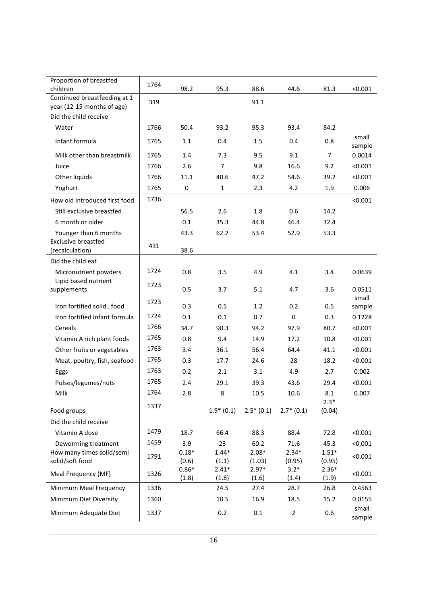| Proportion of breastfed<br>children           | 1764 | 98.2             | 95.3             | 88.6             | 44.6            | 81.3             | < 0.001         |
|-----------------------------------------------|------|------------------|------------------|------------------|-----------------|------------------|-----------------|
| Continued breastfeeding at 1                  |      |                  |                  |                  |                 |                  |                 |
| year (12-15 months of age)                    | 319  |                  |                  | 91.1             |                 |                  |                 |
| Did the child receive                         |      |                  |                  |                  |                 |                  |                 |
| Water                                         | 1766 | 50.4             | 93.2             | 95.3             | 93.4            | 84.2             |                 |
| Infant formula                                | 1765 | 1.1              | 0.4              | 1.5              | 0.4             | 0.8              | small<br>sample |
| Milk other than breastmilk                    | 1765 | 1.4              | 7.3              | 9.5              | 9.1             | $\overline{7}$   | 0.0014          |
| Juice                                         | 1766 | 2.6              | $\overline{7}$   | 9.8              | 16.6            | 9.2              | < 0.001         |
| Other liquids                                 | 1766 | 11.1             | 40.6             | 47.2             | 54.6            | 39.2             | < 0.001         |
| Yoghurt                                       | 1765 | $\mathbf 0$      | $\mathbf 1$      | 2.3              | 4.2             | 1.9              | 0.006           |
| How old introduced first food                 | 1736 |                  |                  |                  |                 |                  | < 0.001         |
| Still exclusive breastfed                     |      | 56.5             | 2.6              | 1.8              | 0.6             | 14.2             |                 |
| 6 month or older                              |      | 0.1              | 35.3             | 44.8             | 46.4            | 32.4             |                 |
| Younger than 6 months                         |      | 43.3             | 62.2             | 53.4             | 52.9            | 53.3             |                 |
| <b>Exclusive breastfed</b>                    | 431  |                  |                  |                  |                 |                  |                 |
| (recalculation)                               |      | 38.6             |                  |                  |                 |                  |                 |
| Did the child eat                             |      |                  |                  |                  |                 |                  |                 |
| Micronutrient powders<br>Lipid based nutrient | 1724 | 0.8              | 3.5              | 4.9              | 4.1             | 3.4              | 0.0639          |
| supplements                                   | 1723 | 0.5              | 3.7              | 5.1              | 4.7             | 3.6              | 0.0511<br>small |
| Iron fortified solidfood                      | 1723 | 0.3              | 0.5              | 1.2              | 0.2             | 0.5              | sample          |
| Iron fortified infant formula                 | 1724 | 0.1              | 0.1              | 0.7              | 0               | 0.3              | 0.1228          |
| Cereals                                       | 1766 | 34.7             | 90.3             | 94.2             | 97.9            | 80.7             | < 0.001         |
| Vitamin A rich plant foods                    | 1765 | 0.8              | 9.4              | 14.9             | 17.2            | 10.8             | < 0.001         |
| Other fruits or vegetables                    | 1763 | 3.4              | 36.1             | 56.4             | 64.4            | 41.1             | < 0.001         |
| Meat, poultry, fish, seafood                  | 1765 | 0.3              | 17.7             | 24.6             | 28              | 18.2             | < 0.001         |
| Eggs                                          | 1763 | 0.2              | 2.1              | 3.1              | 4.9             | 2.7              | 0.002           |
| Pulses/legumes/nuts                           | 1765 | 2.4              | 29.1             | 39.3             | 43.6            | 29.4             | < 0.001         |
| Milk                                          | 1764 | 2.8              | 8                | 10.5             | 10.6            | 8.1              | 0.007           |
| Food groups                                   | 1337 |                  | $1.9*(0.1)$      | $2.5*(0.1)$      | $2.7*(0.1)$     | $2.3*$<br>(0.04) |                 |
| Did the child receive                         |      |                  |                  |                  |                 |                  |                 |
| Vitamin A dose                                | 1479 | 18.7             | 66.4             | 88.3             | 88.4            | 72.8             | < 0.001         |
| Deworming treatment                           | 1459 | 3.9              | 23               | 60.2             | 71.6            | 45.3             | < 0.001         |
| How many times solid/semi                     | 1791 | $0.18*$          | $1.44*$          | $2.08*$          | $2.34*$         | $1.51*$          | < 0.001         |
| solid/soft food                               |      | (0.6)            | (1.1)            | (1.03)           | (0.95)          | (0.95)           |                 |
| Meal Frequency (MF)                           | 1326 | $0.86*$<br>(1.8) | $2.41*$<br>(1.8) | $2.97*$<br>(1.6) | $3.2*$<br>(1.4) | $2.36*$<br>(1.9) | < 0.001         |
| Minimum Meal Frequency                        | 1336 |                  | 24.5             | 27.4             | 28.7            | 26.8             | 0.4563          |
| Minimum Diet Diversity                        | 1360 |                  | 10.5             | 16.9             | 18.5            | 15.2             | 0.0155          |
|                                               |      |                  |                  |                  |                 |                  | small           |
| Minimum Adequate Diet                         | 1337 |                  | 0.2              | $0.1\,$          | $\overline{2}$  | 0.6              | sample          |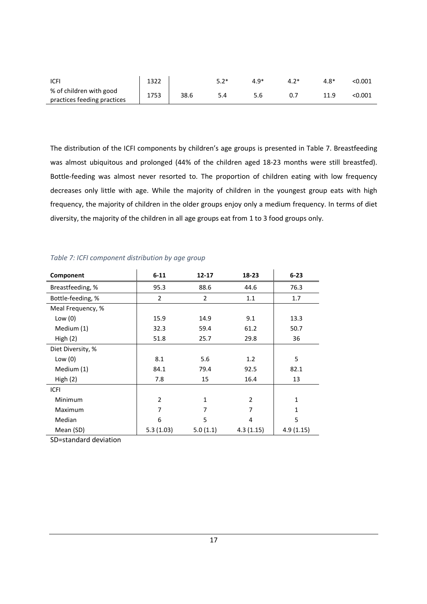| <b>ICFI</b>                 | 1322 |      | $49*$ | 4 R* | < 0.001 |
|-----------------------------|------|------|-------|------|---------|
| % of children with good     | 1753 | 38.6 | 5.6   |      | <0.001  |
| practices feeding practices |      |      |       |      |         |

The distribution of the ICFI components by children's age groups is presented in Table 7. Breastfeeding was almost ubiquitous and prolonged (44% of the children aged 18-23 months were still breastfed). Bottle-feeding was almost never resorted to. The proportion of children eating with low frequency decreases only little with age. While the majority of children in the youngest group eats with high frequency, the majority of children in the older groups enjoy only a medium frequency. In terms of diet diversity, the majority of the children in all age groups eat from 1 to 3 food groups only.

| Component         | $6 - 11$       | $12 - 17$      | $18 - 23$      | $6 - 23$     |
|-------------------|----------------|----------------|----------------|--------------|
| Breastfeeding, %  | 95.3           | 88.6           | 44.6           | 76.3         |
| Bottle-feeding, % | $\overline{2}$ | $\overline{2}$ | 1.1            | 1.7          |
| Meal Frequency, % |                |                |                |              |
| Low $(0)$         | 15.9           | 14.9           | 9.1            | 13.3         |
| Medium (1)        | 32.3           | 59.4           | 61.2           | 50.7         |
| High $(2)$        | 51.8           | 25.7           | 29.8           | 36           |
| Diet Diversity, % |                |                |                |              |
| Low $(0)$         | 8.1            | 5.6            | 1.2            | 5            |
| Medium (1)        | 84.1           | 79.4           | 92.5           | 82.1         |
| High(2)           | 7.8            | 15             | 16.4           | 13           |
| <b>ICFI</b>       |                |                |                |              |
| Minimum           | 2              | 1              | $\overline{2}$ | $\mathbf{1}$ |
| Maximum           | 7              | 7              | 7              | $\mathbf{1}$ |
| Median            | 6              | 5              | 4              | 5            |
| Mean (SD)         | 5.3(1.03)      | 5.0(1.1)       | 4.3(1.15)      | 4.9(1.15)    |

#### Table 7: ICFI component distribution by age group

SD=standard deviation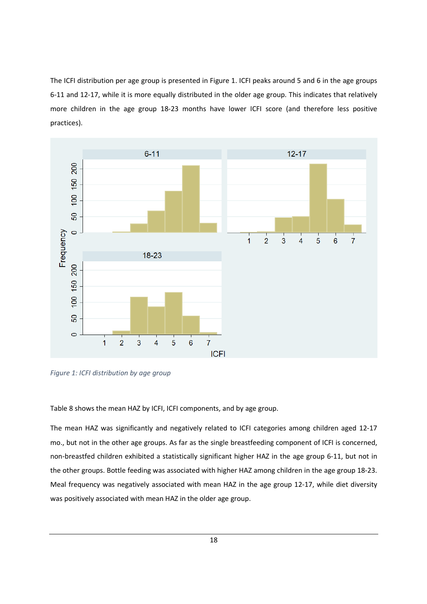The ICFI distribution per age group is presented in Figure 1. ICFI peaks around 5 and 6 in the age groups 6-11 and 12-17, while it is more equally distributed in the older age group. This indicates that relatively more children in the age group 18-23 months have lower ICFI score (and therefore less positive practices).



Figure 1: ICFI distribution by age group

Table 8 shows the mean HAZ by ICFI, ICFI components, and by age group.

The mean HAZ was significantly and negatively related to ICFI categories among children aged 12-17 mo., but not in the other age groups. As far as the single breastfeeding component of ICFI is concerned, non-breastfed children exhibited a statistically significant higher HAZ in the age group 6-11, but not in the other groups. Bottle feeding was associated with higher HAZ among children in the age group 18-23. Meal frequency was negatively associated with mean HAZ in the age group 12-17, while diet diversity was positively associated with mean HAZ in the older age group.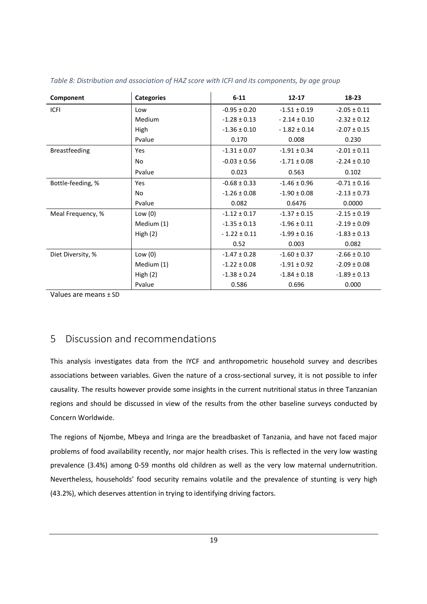| Component            | <b>Categories</b> | $6 - 11$         | $12 - 17$        | 18-23            |
|----------------------|-------------------|------------------|------------------|------------------|
| <b>ICFI</b>          | Low               | $-0.95 \pm 0.20$ | $-1.51 \pm 0.19$ | $-2.05 \pm 0.11$ |
|                      | Medium            | $-1.28 \pm 0.13$ | $-2.14 \pm 0.10$ | $-2.32 \pm 0.12$ |
|                      | High              | $-1.36 \pm 0.10$ | $-1.82 \pm 0.14$ | $-2.07 \pm 0.15$ |
|                      | Pvalue            | 0.170            | 0.008            | 0.230            |
| <b>Breastfeeding</b> | Yes               | $-1.31 \pm 0.07$ | $-1.91 \pm 0.34$ | $-2.01 \pm 0.11$ |
|                      | <b>No</b>         | $-0.03 \pm 0.56$ | $-1.71 \pm 0.08$ | $-2.24 \pm 0.10$ |
|                      | Pvalue            | 0.023            | 0.563            | 0.102            |
| Bottle-feeding, %    | Yes               | $-0.68 \pm 0.33$ | $-1.46 \pm 0.96$ | $-0.71 \pm 0.16$ |
|                      | <b>No</b>         | $-1.26 \pm 0.08$ | $-1.90 \pm 0.08$ | $-2.13 \pm 0.73$ |
|                      | Pvalue            | 0.082            | 0.6476           | 0.0000           |
| Meal Frequency, %    | Low $(0)$         | $-1.12 \pm 0.17$ | $-1.37 \pm 0.15$ | $-2.15 \pm 0.19$ |
|                      | Medium (1)        | $-1.35 \pm 0.13$ | $-1.96 \pm 0.11$ | $-2.19 \pm 0.09$ |
|                      | High $(2)$        | $-1.22 \pm 0.11$ | $-1.99 \pm 0.16$ | $-1.83 \pm 0.13$ |
|                      |                   | 0.52             | 0.003            | 0.082            |
| Diet Diversity, %    | Low $(0)$         | $-1.47 \pm 0.28$ | $-1.60 \pm 0.37$ | $-2.66 \pm 0.10$ |
|                      | Medium (1)        | $-1.22 \pm 0.08$ | $-1.91 \pm 0.92$ | $-2.09 \pm 0.08$ |
|                      | High(2)           | $-1.38 \pm 0.24$ | $-1.84 \pm 0.18$ | $-1.89 \pm 0.13$ |
|                      | Pvalue            | 0.586            | 0.696            | 0.000            |

Table 8: Distribution and association of HAZ score with ICFI and its components, by age group

Values are means ± SD

## 5 Discussion and recommendations

This analysis investigates data from the IYCF and anthropometric household survey and describes associations between variables. Given the nature of a cross-sectional survey, it is not possible to infer causality. The results however provide some insights in the current nutritional status in three Tanzanian regions and should be discussed in view of the results from the other baseline surveys conducted by Concern Worldwide.

The regions of Njombe, Mbeya and Iringa are the breadbasket of Tanzania, and have not faced major problems of food availability recently, nor major health crises. This is reflected in the very low wasting prevalence (3.4%) among 0-59 months old children as well as the very low maternal undernutrition. Nevertheless, households' food security remains volatile and the prevalence of stunting is very high (43.2%), which deserves attention in trying to identifying driving factors.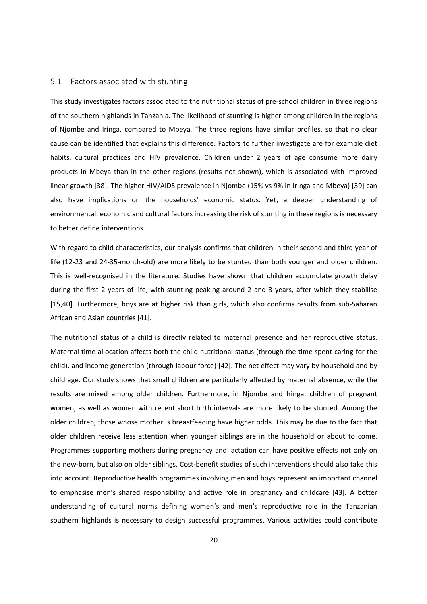#### 5.1 Factors associated with stunting

This study investigates factors associated to the nutritional status of pre-school children in three regions of the southern highlands in Tanzania. The likelihood of stunting is higher among children in the regions of Njombe and Iringa, compared to Mbeya. The three regions have similar profiles, so that no clear cause can be identified that explains this difference. Factors to further investigate are for example diet habits, cultural practices and HIV prevalence. Children under 2 years of age consume more dairy products in Mbeya than in the other regions (results not shown), which is associated with improved linear growth [38]. The higher HIV/AIDS prevalence in Njombe (15% vs 9% in Iringa and Mbeya) [39] can also have implications on the households' economic status. Yet, a deeper understanding of environmental, economic and cultural factors increasing the risk of stunting in these regions is necessary to better define interventions.

With regard to child characteristics, our analysis confirms that children in their second and third year of life (12-23 and 24-35-month-old) are more likely to be stunted than both younger and older children. This is well-recognised in the literature. Studies have shown that children accumulate growth delay during the first 2 years of life, with stunting peaking around 2 and 3 years, after which they stabilise [15,40]. Furthermore, boys are at higher risk than girls, which also confirms results from sub-Saharan African and Asian countries [41].

The nutritional status of a child is directly related to maternal presence and her reproductive status. Maternal time allocation affects both the child nutritional status (through the time spent caring for the child), and income generation (through labour force) [42]. The net effect may vary by household and by child age. Our study shows that small children are particularly affected by maternal absence, while the results are mixed among older children. Furthermore, in Njombe and Iringa, children of pregnant women, as well as women with recent short birth intervals are more likely to be stunted. Among the older children, those whose mother is breastfeeding have higher odds. This may be due to the fact that older children receive less attention when younger siblings are in the household or about to come. Programmes supporting mothers during pregnancy and lactation can have positive effects not only on the new-born, but also on older siblings. Cost-benefit studies of such interventions should also take this into account. Reproductive health programmes involving men and boys represent an important channel to emphasise men's shared responsibility and active role in pregnancy and childcare [43]. A better understanding of cultural norms defining women's and men's reproductive role in the Tanzanian southern highlands is necessary to design successful programmes. Various activities could contribute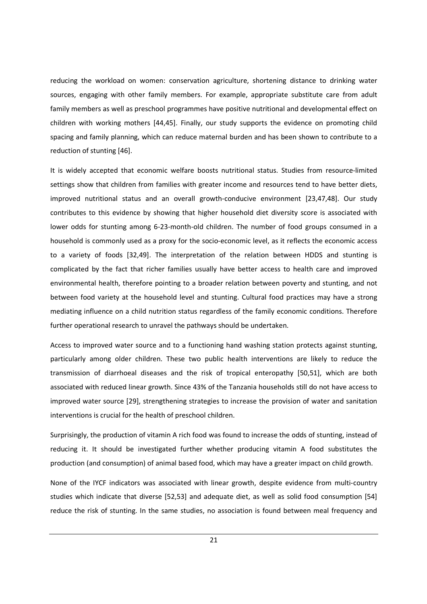reducing the workload on women: conservation agriculture, shortening distance to drinking water sources, engaging with other family members. For example, appropriate substitute care from adult family members as well as preschool programmes have positive nutritional and developmental effect on children with working mothers [44,45]. Finally, our study supports the evidence on promoting child spacing and family planning, which can reduce maternal burden and has been shown to contribute to a reduction of stunting [46].

It is widely accepted that economic welfare boosts nutritional status. Studies from resource-limited settings show that children from families with greater income and resources tend to have better diets, improved nutritional status and an overall growth-conducive environment [23,47,48]. Our study contributes to this evidence by showing that higher household diet diversity score is associated with lower odds for stunting among 6-23-month-old children. The number of food groups consumed in a household is commonly used as a proxy for the socio-economic level, as it reflects the economic access to a variety of foods [32,49]. The interpretation of the relation between HDDS and stunting is complicated by the fact that richer families usually have better access to health care and improved environmental health, therefore pointing to a broader relation between poverty and stunting, and not between food variety at the household level and stunting. Cultural food practices may have a strong mediating influence on a child nutrition status regardless of the family economic conditions. Therefore further operational research to unravel the pathways should be undertaken.

Access to improved water source and to a functioning hand washing station protects against stunting, particularly among older children. These two public health interventions are likely to reduce the transmission of diarrhoeal diseases and the risk of tropical enteropathy [50,51], which are both associated with reduced linear growth. Since 43% of the Tanzania households still do not have access to improved water source [29], strengthening strategies to increase the provision of water and sanitation interventions is crucial for the health of preschool children.

Surprisingly, the production of vitamin A rich food was found to increase the odds of stunting, instead of reducing it. It should be investigated further whether producing vitamin A food substitutes the production (and consumption) of animal based food, which may have a greater impact on child growth.

None of the IYCF indicators was associated with linear growth, despite evidence from multi-country studies which indicate that diverse [52,53] and adequate diet, as well as solid food consumption [54] reduce the risk of stunting. In the same studies, no association is found between meal frequency and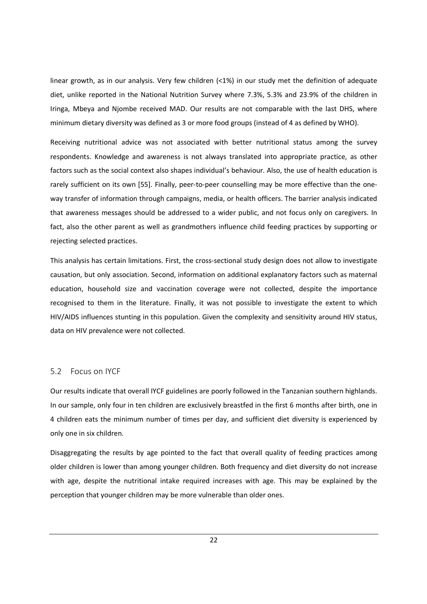linear growth, as in our analysis. Very few children (<1%) in our study met the definition of adequate diet, unlike reported in the National Nutrition Survey where 7.3%, 5.3% and 23.9% of the children in Iringa, Mbeya and Njombe received MAD. Our results are not comparable with the last DHS, where minimum dietary diversity was defined as 3 or more food groups (instead of 4 as defined by WHO).

Receiving nutritional advice was not associated with better nutritional status among the survey respondents. Knowledge and awareness is not always translated into appropriate practice, as other factors such as the social context also shapes individual's behaviour. Also, the use of health education is rarely sufficient on its own [55]. Finally, peer-to-peer counselling may be more effective than the oneway transfer of information through campaigns, media, or health officers. The barrier analysis indicated that awareness messages should be addressed to a wider public, and not focus only on caregivers. In fact, also the other parent as well as grandmothers influence child feeding practices by supporting or rejecting selected practices.

This analysis has certain limitations. First, the cross-sectional study design does not allow to investigate causation, but only association. Second, information on additional explanatory factors such as maternal education, household size and vaccination coverage were not collected, despite the importance recognised to them in the literature. Finally, it was not possible to investigate the extent to which HIV/AIDS influences stunting in this population. Given the complexity and sensitivity around HIV status, data on HIV prevalence were not collected.

#### 5.2 Focus on IYCF

Our results indicate that overall IYCF guidelines are poorly followed in the Tanzanian southern highlands. In our sample, only four in ten children are exclusively breastfed in the first 6 months after birth, one in 4 children eats the minimum number of times per day, and sufficient diet diversity is experienced by only one in six children.

Disaggregating the results by age pointed to the fact that overall quality of feeding practices among older children is lower than among younger children. Both frequency and diet diversity do not increase with age, despite the nutritional intake required increases with age. This may be explained by the perception that younger children may be more vulnerable than older ones.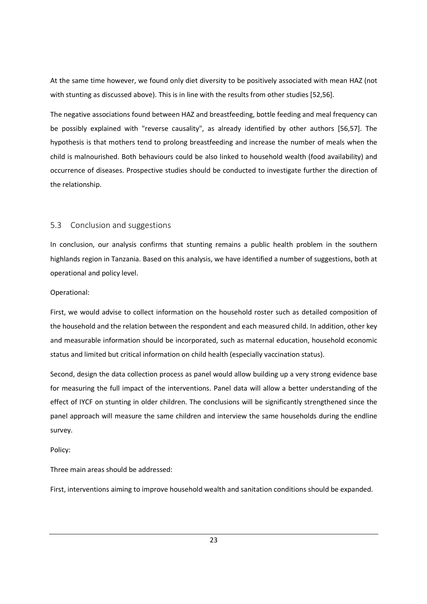At the same time however, we found only diet diversity to be positively associated with mean HAZ (not with stunting as discussed above). This is in line with the results from other studies [52,56].

The negative associations found between HAZ and breastfeeding, bottle feeding and meal frequency can be possibly explained with "reverse causality", as already identified by other authors [56,57]. The hypothesis is that mothers tend to prolong breastfeeding and increase the number of meals when the child is malnourished. Both behaviours could be also linked to household wealth (food availability) and occurrence of diseases. Prospective studies should be conducted to investigate further the direction of the relationship.

#### 5.3 Conclusion and suggestions

In conclusion, our analysis confirms that stunting remains a public health problem in the southern highlands region in Tanzania. Based on this analysis, we have identified a number of suggestions, both at operational and policy level.

#### Operational:

First, we would advise to collect information on the household roster such as detailed composition of the household and the relation between the respondent and each measured child. In addition, other key and measurable information should be incorporated, such as maternal education, household economic status and limited but critical information on child health (especially vaccination status).

Second, design the data collection process as panel would allow building up a very strong evidence base for measuring the full impact of the interventions. Panel data will allow a better understanding of the effect of IYCF on stunting in older children. The conclusions will be significantly strengthened since the panel approach will measure the same children and interview the same households during the endline survey.

Policy:

Three main areas should be addressed:

First, interventions aiming to improve household wealth and sanitation conditions should be expanded.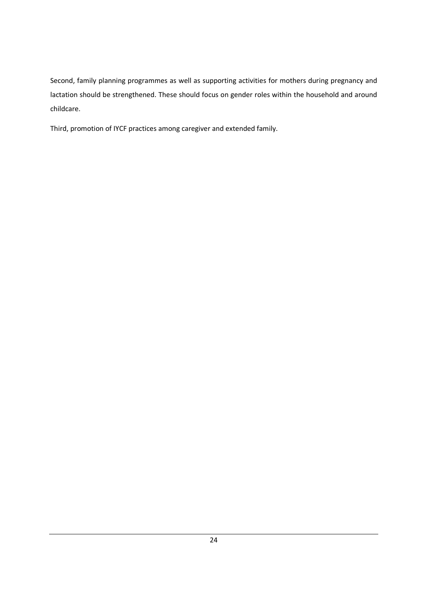Second, family planning programmes as well as supporting activities for mothers during pregnancy and lactation should be strengthened. These should focus on gender roles within the household and around childcare.

Third, promotion of IYCF practices among caregiver and extended family.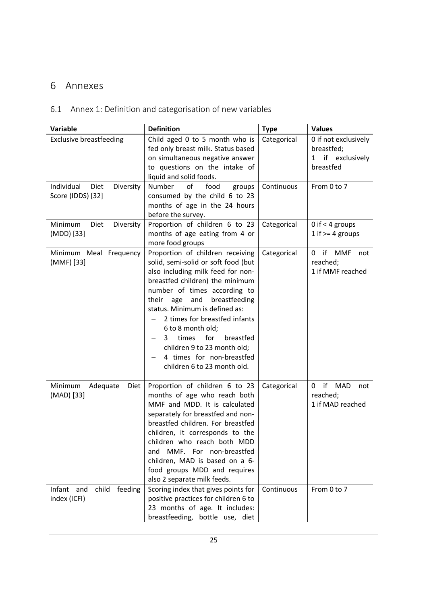## 6 Annexes

## 6.1 Annex 1: Definition and categorisation of new variables

| Variable                                             | <b>Definition</b>                                                                                                                                                                                                                                                                                                                                                                                                                            | <b>Type</b> | <b>Values</b>                                                          |
|------------------------------------------------------|----------------------------------------------------------------------------------------------------------------------------------------------------------------------------------------------------------------------------------------------------------------------------------------------------------------------------------------------------------------------------------------------------------------------------------------------|-------------|------------------------------------------------------------------------|
| <b>Exclusive breastfeeding</b>                       | Child aged 0 to 5 month who is<br>fed only breast milk. Status based<br>on simultaneous negative answer<br>to questions on the intake of<br>liquid and solid foods.                                                                                                                                                                                                                                                                          | Categorical | 0 if not exclusively<br>breastfed;<br>if exclusively<br>1<br>breastfed |
| Individual<br>Diet<br>Diversity<br>Score (IDDS) [32] | Number<br>of<br>food<br>groups<br>consumed by the child 6 to 23<br>months of age in the 24 hours<br>before the survey.                                                                                                                                                                                                                                                                                                                       | Continuous  | From 0 to 7                                                            |
| Minimum<br>Diet<br>Diversity<br>(MDD) [33]           | Proportion of children 6 to 23<br>months of age eating from 4 or<br>more food groups                                                                                                                                                                                                                                                                                                                                                         | Categorical | 0 if $<$ 4 groups<br>1 if $>=$ 4 groups                                |
| Minimum Meal Frequency<br>(MMF) [33]                 | Proportion of children receiving<br>solid, semi-solid or soft food (but<br>also including milk feed for non-<br>breastfed children) the minimum<br>number of times according to<br>their<br>age<br>and<br>breastfeeding<br>status. Minimum is defined as:<br>2 times for breastfed infants<br>6 to 8 month old;<br>for<br>breastfed<br>3<br>times<br>children 9 to 23 month old;<br>4 times for non-breastfed<br>children 6 to 23 month old. | Categorical | if MMF<br>0<br>not<br>reached;<br>1 if MMF reached                     |
| Minimum<br>Adequate<br>Diet<br>(MAD) [33]            | Proportion of children 6 to 23<br>months of age who reach both<br>MMF and MDD. It is calculated<br>separately for breastfed and non-<br>breastfed children. For breastfed<br>children, it corresponds to the<br>children who reach both MDD<br>and MMF. For non-breastfed<br>children, MAD is based on a 6-<br>food groups MDD and requires<br>also 2 separate milk feeds.                                                                   | Categorical | if MAD<br>0<br>not<br>reached;<br>1 if MAD reached                     |
| Infant<br>and<br>child<br>feeding<br>index (ICFI)    | Scoring index that gives points for<br>positive practices for children 6 to<br>23 months of age. It includes:<br>breastfeeding, bottle use, diet                                                                                                                                                                                                                                                                                             | Continuous  | From 0 to 7                                                            |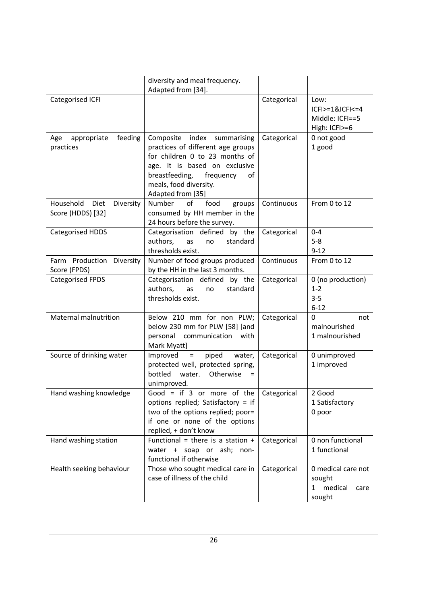|                                                     | diversity and meal frequency.<br>Adapted from [34].                                                                                                                                                                     |             |                                                                           |
|-----------------------------------------------------|-------------------------------------------------------------------------------------------------------------------------------------------------------------------------------------------------------------------------|-------------|---------------------------------------------------------------------------|
| Categorised ICFI                                    |                                                                                                                                                                                                                         | Categorical | Low:<br>$ CF >=1&C CF <=4$<br>Middle: ICFI==5<br>High: ICFI>=6            |
| feeding<br>appropriate<br>Age<br>practices          | Composite index summarising<br>practices of different age groups<br>for children 0 to 23 months of<br>age. It is based on exclusive<br>breastfeeding,<br>frequency<br>0f<br>meals, food diversity.<br>Adapted from [35] | Categorical | 0 not good<br>1 good                                                      |
| Household<br>Diet<br>Diversity<br>Score (HDDS) [32] | of<br>Number<br>food<br>groups<br>consumed by HH member in the<br>24 hours before the survey.                                                                                                                           | Continuous  | From 0 to 12                                                              |
| <b>Categorised HDDS</b>                             | Categorisation defined by the<br>authors,<br>standard<br>as<br>no<br>thresholds exist.                                                                                                                                  | Categorical | $0 - 4$<br>$5-8$<br>$9 - 12$                                              |
| Farm Production Diversity<br>Score (FPDS)           | Number of food groups produced<br>by the HH in the last 3 months.                                                                                                                                                       | Continuous  | From 0 to 12                                                              |
| <b>Categorised FPDS</b>                             | Categorisation defined by the<br>authors,<br>standard<br>as<br>no<br>thresholds exist.                                                                                                                                  | Categorical | 0 (no production)<br>$1 - 2$<br>$3 - 5$<br>$6 - 12$                       |
| Maternal malnutrition                               | Below 210 mm for non PLW;<br>below 230 mm for PLW [58] [and<br>personal<br>communication<br>with<br>Mark Myatt]                                                                                                         | Categorical | 0<br>not<br>malnourished<br>1 malnourished                                |
| Source of drinking water                            | piped<br>Improved<br>water,<br>$\equiv$<br>protected well, protected spring,<br>bottled<br>water.<br>Otherwise<br>$=$<br>unimproved.                                                                                    | Categorical | 0 unimproved<br>1 improved                                                |
| Hand washing knowledge                              | Good = if $3$ or more of the<br>options replied; Satisfactory = if<br>two of the options replied; poor=<br>if one or none of the options<br>replied, + don't know                                                       | Categorical | 2 Good<br>1 Satisfactory<br>0 poor                                        |
| Hand washing station                                | Functional = there is a station +<br>water + soap or ash;<br>non-<br>functional if otherwise                                                                                                                            | Categorical | 0 non functional<br>1 functional                                          |
| Health seeking behaviour                            | Those who sought medical care in<br>case of illness of the child                                                                                                                                                        | Categorical | 0 medical care not<br>sought<br>medical<br>$\mathbf{1}$<br>care<br>sought |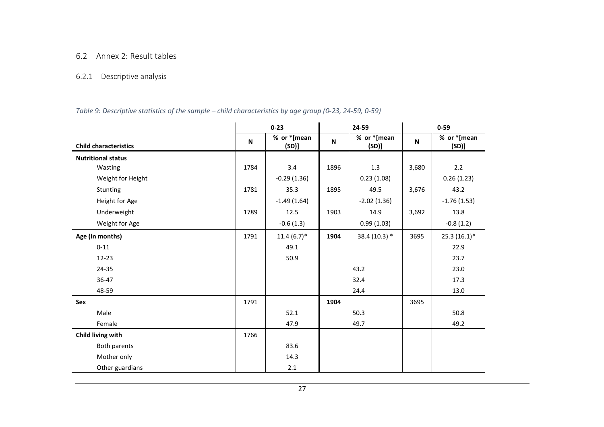## 6.2 Annex 2: Result tables

## 6.2.1 Descriptive analysis

### Table 9: Descriptive statistics of the sample – child characteristics by age group (0-23, 24-59, 0-59)

|                              |      | $0 - 23$<br>24-59    |              |                     | $0 - 59$ |                     |
|------------------------------|------|----------------------|--------------|---------------------|----------|---------------------|
| <b>Child characteristics</b> | N    | % or *[mean<br>(SD)] | $\mathsf{N}$ | % or *[mean<br>(SD) | N        | % or *[mean<br>(SD) |
| <b>Nutritional status</b>    |      |                      |              |                     |          |                     |
| Wasting                      | 1784 | 3.4                  | 1896         | 1.3                 | 3,680    | 2.2                 |
| Weight for Height            |      | $-0.29(1.36)$        |              | 0.23(1.08)          |          | 0.26(1.23)          |
| Stunting                     | 1781 | 35.3                 | 1895         | 49.5                | 3,676    | 43.2                |
| Height for Age               |      | $-1.49(1.64)$        |              | $-2.02(1.36)$       |          | $-1.76(1.53)$       |
| Underweight                  | 1789 | 12.5                 | 1903         | 14.9                | 3,692    | 13.8                |
| Weight for Age               |      | $-0.6(1.3)$          |              | 0.99(1.03)          |          | $-0.8(1.2)$         |
| Age (in months)              | 1791 | $11.4(6.7)$ *        | 1904         | $38.4(10.3)*$       | 3695     | $25.3(16.1)$ *      |
| $0 - 11$                     |      | 49.1                 |              |                     |          | 22.9                |
| $12 - 23$                    |      | 50.9                 |              |                     |          | 23.7                |
| 24-35                        |      |                      |              | 43.2                |          | 23.0                |
| 36-47                        |      |                      |              | 32.4                |          | 17.3                |
| 48-59                        |      |                      |              | 24.4                |          | 13.0                |
| Sex                          | 1791 |                      | 1904         |                     | 3695     |                     |
| Male                         |      | 52.1                 |              | 50.3                |          | 50.8                |
| Female                       |      | 47.9                 |              | 49.7                |          | 49.2                |
| Child living with            | 1766 |                      |              |                     |          |                     |
| Both parents                 |      | 83.6                 |              |                     |          |                     |
| Mother only                  |      | 14.3                 |              |                     |          |                     |
| Other guardians              |      | 2.1                  |              |                     |          |                     |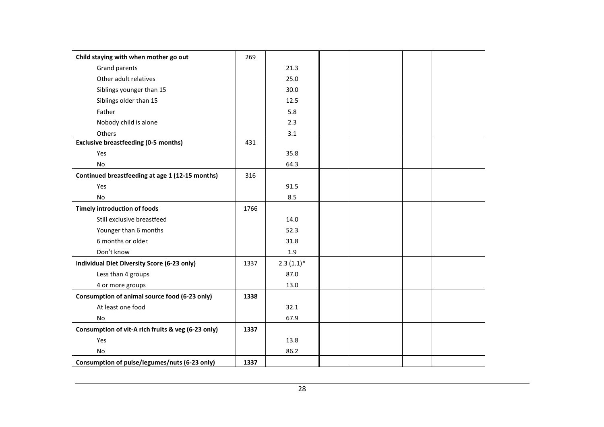| Child staying with when mother go out              | 269  |              |  |  |
|----------------------------------------------------|------|--------------|--|--|
| Grand parents                                      |      | 21.3         |  |  |
| Other adult relatives                              |      | 25.0         |  |  |
| Siblings younger than 15                           |      | 30.0         |  |  |
| Siblings older than 15                             |      | 12.5         |  |  |
| Father                                             |      | 5.8          |  |  |
| Nobody child is alone                              |      | 2.3          |  |  |
| Others                                             |      | 3.1          |  |  |
| <b>Exclusive breastfeeding (0-5 months)</b>        | 431  |              |  |  |
| Yes                                                |      | 35.8         |  |  |
| No                                                 |      | 64.3         |  |  |
| Continued breastfeeding at age 1 (12-15 months)    | 316  |              |  |  |
| Yes                                                |      | 91.5         |  |  |
| <b>No</b>                                          |      | 8.5          |  |  |
| <b>Timely introduction of foods</b>                | 1766 |              |  |  |
| Still exclusive breastfeed                         |      | 14.0         |  |  |
| Younger than 6 months                              |      | 52.3         |  |  |
| 6 months or older                                  |      | 31.8         |  |  |
| Don't know                                         |      | $1.9\,$      |  |  |
| Individual Diet Diversity Score (6-23 only)        | 1337 | $2.3(1.1)$ * |  |  |
| Less than 4 groups                                 |      | 87.0         |  |  |
| 4 or more groups                                   |      | 13.0         |  |  |
| Consumption of animal source food (6-23 only)      | 1338 |              |  |  |
| At least one food                                  |      | 32.1         |  |  |
| <b>No</b>                                          |      | 67.9         |  |  |
| Consumption of vit-A rich fruits & veg (6-23 only) | 1337 |              |  |  |
| Yes                                                |      | 13.8         |  |  |
| <b>No</b>                                          |      | 86.2         |  |  |
| Consumption of pulse/legumes/nuts (6-23 only)      | 1337 |              |  |  |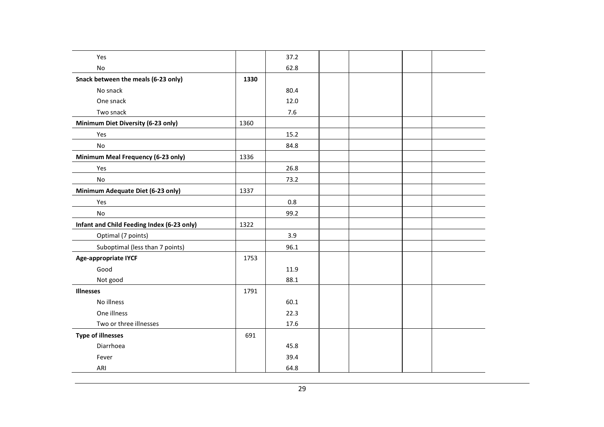| Yes                                        |      | 37.2 |  |  |
|--------------------------------------------|------|------|--|--|
| No                                         |      | 62.8 |  |  |
| Snack between the meals (6-23 only)        | 1330 |      |  |  |
| No snack                                   |      | 80.4 |  |  |
| One snack                                  |      | 12.0 |  |  |
| Two snack                                  |      | 7.6  |  |  |
| Minimum Diet Diversity (6-23 only)         | 1360 |      |  |  |
| Yes                                        |      | 15.2 |  |  |
| <b>No</b>                                  |      | 84.8 |  |  |
| Minimum Meal Frequency (6-23 only)         | 1336 |      |  |  |
| Yes                                        |      | 26.8 |  |  |
| No                                         |      | 73.2 |  |  |
| Minimum Adequate Diet (6-23 only)          | 1337 |      |  |  |
| Yes                                        |      | 0.8  |  |  |
| $\mathsf{No}$                              |      | 99.2 |  |  |
| Infant and Child Feeding Index (6-23 only) | 1322 |      |  |  |
| Optimal (7 points)                         |      | 3.9  |  |  |
| Suboptimal (less than 7 points)            |      | 96.1 |  |  |
| <b>Age-appropriate IYCF</b>                | 1753 |      |  |  |
| Good                                       |      | 11.9 |  |  |
| Not good                                   |      | 88.1 |  |  |
| <b>Illnesses</b>                           | 1791 |      |  |  |
| No illness                                 |      | 60.1 |  |  |
| One illness                                |      | 22.3 |  |  |
| Two or three illnesses                     |      | 17.6 |  |  |
| <b>Type of illnesses</b>                   | 691  |      |  |  |
| Diarrhoea                                  |      | 45.8 |  |  |
| Fever                                      |      | 39.4 |  |  |
| ARI                                        |      | 64.8 |  |  |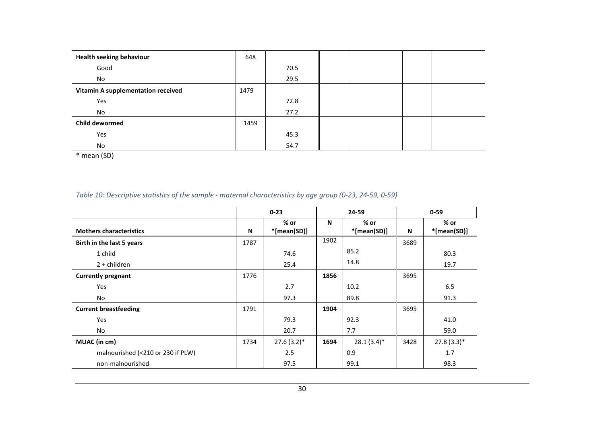| <b>Health seeking behaviour</b>    | 648  |      |  |  |
|------------------------------------|------|------|--|--|
| Good                               |      | 70.5 |  |  |
| No                                 |      | 29.5 |  |  |
| Vitamin A supplementation received | 1479 |      |  |  |
| Yes                                |      | 72.8 |  |  |
| No                                 |      | 27.2 |  |  |
| Child dewormed                     | 1459 |      |  |  |
| Yes                                |      | 45.3 |  |  |
| No                                 |      | 54.7 |  |  |

\* mean (SD)

#### Table 10: Descriptive statistics of the sample - maternal characteristics by age group (0-23, 24-59, 0-59)

|                                   |      | $0 - 23$              | 24-59 |                       |      | $0 - 59$              |
|-----------------------------------|------|-----------------------|-------|-----------------------|------|-----------------------|
| <b>Mothers characteristics</b>    | N    | $%$ or<br>*[mean(SD)] | N     | $%$ or<br>*[mean(SD)] | N    | $%$ or<br>*[mean(SD)] |
| Birth in the last 5 years         | 1787 |                       | 1902  |                       | 3689 |                       |
| 1 child                           |      | 74.6                  |       | 85.2                  |      | 80.3                  |
| $2 +$ children                    |      | 25.4                  |       | 14.8                  |      | 19.7                  |
| <b>Currently pregnant</b>         | 1776 |                       | 1856  |                       | 3695 |                       |
| Yes                               |      | 2.7                   |       | 10.2                  |      | 6.5                   |
| No                                |      | 97.3                  |       | 89.8                  |      | 91.3                  |
| <b>Current breastfeeding</b>      | 1791 |                       | 1904  |                       | 3695 |                       |
| Yes                               |      | 79.3                  |       | 92.3                  |      | 41.0                  |
| No                                |      | 20.7                  |       | 7.7                   |      | 59.0                  |
| MUAC (in cm)                      | 1734 | $27.6(3.2)$ *         | 1694  | $28.1(3.4)$ *         | 3428 | $27.8(3.3)*$          |
| malnourished (<210 or 230 if PLW) |      | 2.5                   |       | 0.9                   |      | 1.7                   |
| non-malnourished                  |      | 97.5                  |       | 99.1                  |      | 98.3                  |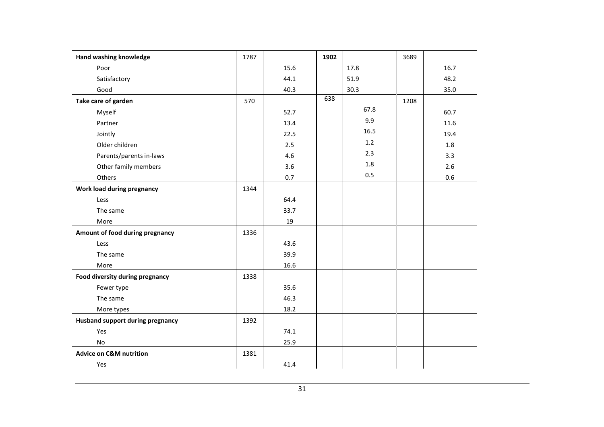| Hand washing knowledge                  | 1787 |      | 1902 |      | 3689 |      |
|-----------------------------------------|------|------|------|------|------|------|
| Poor                                    |      | 15.6 |      | 17.8 |      | 16.7 |
| Satisfactory                            |      | 44.1 |      | 51.9 |      | 48.2 |
| Good                                    |      | 40.3 |      | 30.3 |      | 35.0 |
| Take care of garden                     | 570  |      | 638  |      | 1208 |      |
| Myself                                  |      | 52.7 |      | 67.8 |      | 60.7 |
| Partner                                 |      | 13.4 |      | 9.9  |      | 11.6 |
| Jointly                                 |      | 22.5 |      | 16.5 |      | 19.4 |
| Older children                          |      | 2.5  |      | 1.2  |      | 1.8  |
| Parents/parents in-laws                 |      | 4.6  |      | 2.3  |      | 3.3  |
| Other family members                    |      | 3.6  |      | 1.8  |      | 2.6  |
| Others                                  |      | 0.7  |      | 0.5  |      | 0.6  |
| Work load during pregnancy              | 1344 |      |      |      |      |      |
| Less                                    |      | 64.4 |      |      |      |      |
| The same                                |      | 33.7 |      |      |      |      |
| More                                    |      | 19   |      |      |      |      |
| Amount of food during pregnancy         | 1336 |      |      |      |      |      |
| Less                                    |      | 43.6 |      |      |      |      |
| The same                                |      | 39.9 |      |      |      |      |
| More                                    |      | 16.6 |      |      |      |      |
| Food diversity during pregnancy         | 1338 |      |      |      |      |      |
| Fewer type                              |      | 35.6 |      |      |      |      |
| The same                                |      | 46.3 |      |      |      |      |
| More types                              |      | 18.2 |      |      |      |      |
| <b>Husband support during pregnancy</b> | 1392 |      |      |      |      |      |
| Yes                                     |      | 74.1 |      |      |      |      |
| No                                      |      | 25.9 |      |      |      |      |
| <b>Advice on C&amp;M nutrition</b>      | 1381 |      |      |      |      |      |
| Yes                                     |      | 41.4 |      |      |      |      |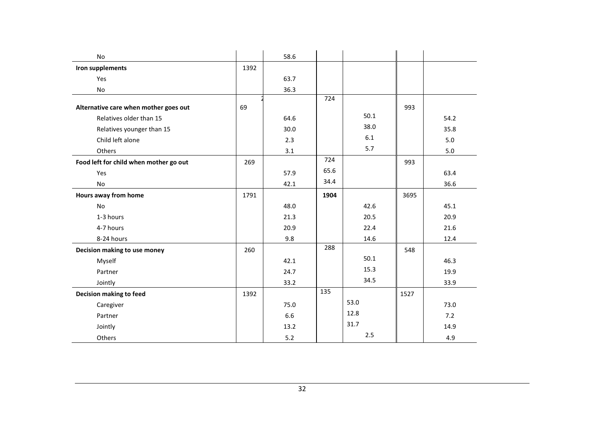| No                                     |      | 58.6 |      |      |      |      |
|----------------------------------------|------|------|------|------|------|------|
| Iron supplements                       | 1392 |      |      |      |      |      |
| Yes                                    |      | 63.7 |      |      |      |      |
| No                                     |      | 36.3 |      |      |      |      |
| Alternative care when mother goes out  | 69   |      | 724  |      | 993  |      |
| Relatives older than 15                |      | 64.6 |      | 50.1 |      | 54.2 |
| Relatives younger than 15              |      | 30.0 |      | 38.0 |      | 35.8 |
| Child left alone                       |      | 2.3  |      | 6.1  |      | 5.0  |
| Others                                 |      | 3.1  |      | 5.7  |      | 5.0  |
| Food left for child when mother go out | 269  |      | 724  |      | 993  |      |
| Yes                                    |      | 57.9 | 65.6 |      |      | 63.4 |
| No                                     |      | 42.1 | 34.4 |      |      | 36.6 |
| Hours away from home                   | 1791 |      | 1904 |      | 3695 |      |
| No                                     |      | 48.0 |      | 42.6 |      | 45.1 |
| 1-3 hours                              |      | 21.3 |      | 20.5 |      | 20.9 |
| 4-7 hours                              |      | 20.9 |      | 22.4 |      | 21.6 |
| 8-24 hours                             |      | 9.8  |      | 14.6 |      | 12.4 |
| Decision making to use money           | 260  |      | 288  |      | 548  |      |
| Myself                                 |      | 42.1 |      | 50.1 |      | 46.3 |
| Partner                                |      | 24.7 |      | 15.3 |      | 19.9 |
| Jointly                                |      | 33.2 |      | 34.5 |      | 33.9 |
| Decision making to feed                | 1392 |      | 135  |      | 1527 |      |
| Caregiver                              |      | 75.0 |      | 53.0 |      | 73.0 |
| Partner                                |      | 6.6  |      | 12.8 |      | 7.2  |
| Jointly                                |      | 13.2 |      | 31.7 |      | 14.9 |
| Others                                 |      | 5.2  |      | 2.5  |      | 4.9  |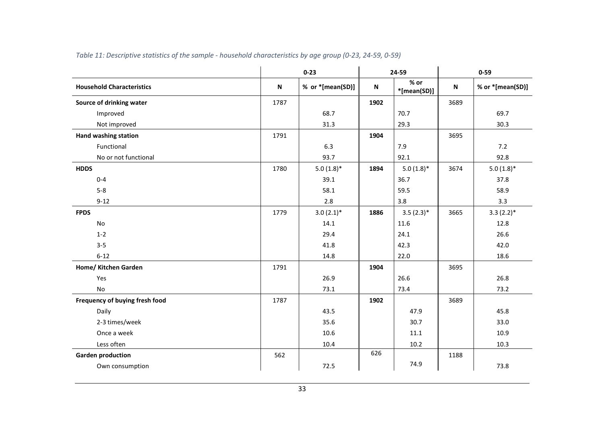|                                  |      | $0 - 23$         |           | 24-59               | $0 - 59$ |                  |
|----------------------------------|------|------------------|-----------|---------------------|----------|------------------|
| <b>Household Characteristics</b> | N    | % or *[mean(SD)] | ${\sf N}$ | % or<br>*[mean(SD)] | N        | % or *[mean(SD)] |
| Source of drinking water         | 1787 |                  | 1902      |                     | 3689     |                  |
| Improved                         |      | 68.7             |           | 70.7                |          | 69.7             |
| Not improved                     |      | 31.3             |           | 29.3                |          | 30.3             |
| <b>Hand washing station</b>      | 1791 |                  | 1904      |                     | 3695     |                  |
| Functional                       |      | 6.3              |           | 7.9                 |          | 7.2              |
| No or not functional             |      | 93.7             |           | 92.1                |          | 92.8             |
| <b>HDDS</b>                      | 1780 | $5.0(1.8)$ *     | 1894      | $5.0(1.8)$ *        | 3674     | $5.0(1.8)$ *     |
| $0 - 4$                          |      | 39.1             |           | 36.7                |          | 37.8             |
| $5 - 8$                          |      | 58.1             |           | 59.5                |          | 58.9             |
| $9 - 12$                         |      | 2.8              |           | 3.8                 |          | 3.3              |
| <b>FPDS</b>                      | 1779 | $3.0(2.1)$ *     | 1886      | $3.5(2.3)*$         | 3665     | $3.3(2.2)*$      |
| No                               |      | 14.1             |           | 11.6                |          | 12.8             |
| $1 - 2$                          |      | 29.4             |           | 24.1                |          | 26.6             |
| $3 - 5$                          |      | 41.8             |           | 42.3                |          | 42.0             |
| $6 - 12$                         |      | 14.8             |           | 22.0                |          | 18.6             |
| Home/ Kitchen Garden             | 1791 |                  | 1904      |                     | 3695     |                  |
| Yes                              |      | 26.9             |           | 26.6                |          | 26.8             |
| No                               |      | 73.1             |           | 73.4                |          | 73.2             |
| Frequency of buying fresh food   | 1787 |                  | 1902      |                     | 3689     |                  |
| Daily                            |      | 43.5             |           | 47.9                |          | 45.8             |
| 2-3 times/week                   |      | 35.6             |           | 30.7                |          | 33.0             |
| Once a week                      |      | 10.6             |           | 11.1                |          | 10.9             |
| Less often                       |      | 10.4             |           | 10.2                |          | 10.3             |
| <b>Garden production</b>         | 562  |                  | 626       |                     | 1188     |                  |
| Own consumption                  |      | 72.5             |           | 74.9                |          | 73.8             |

#### Table 11: Descriptive statistics of the sample - household characteristics by age group (0-23, 24-59, 0-59)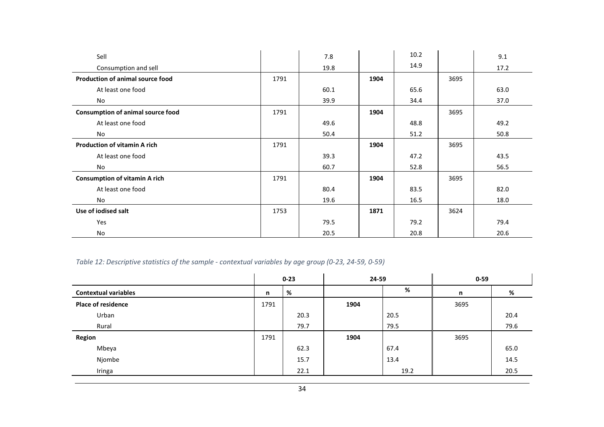| Sell                                     |      | 7.8  |      | 10.2 |      | 9.1  |
|------------------------------------------|------|------|------|------|------|------|
| Consumption and sell                     |      | 19.8 |      | 14.9 |      | 17.2 |
| Production of animal source food         | 1791 |      | 1904 |      | 3695 |      |
| At least one food                        |      | 60.1 |      | 65.6 |      | 63.0 |
| No                                       |      | 39.9 |      | 34.4 |      | 37.0 |
| <b>Consumption of animal source food</b> | 1791 |      | 1904 |      | 3695 |      |
| At least one food                        |      | 49.6 |      | 48.8 |      | 49.2 |
| No                                       |      | 50.4 |      | 51.2 |      | 50.8 |
| <b>Production of vitamin A rich</b>      | 1791 |      | 1904 |      | 3695 |      |
| At least one food                        |      | 39.3 |      | 47.2 |      | 43.5 |
| No                                       |      | 60.7 |      | 52.8 |      | 56.5 |
| <b>Consumption of vitamin A rich</b>     | 1791 |      | 1904 |      | 3695 |      |
| At least one food                        |      | 80.4 |      | 83.5 |      | 82.0 |
| No                                       |      | 19.6 |      | 16.5 |      | 18.0 |
| Use of iodised salt                      | 1753 |      | 1871 |      | 3624 |      |
| Yes                                      |      | 79.5 |      | 79.2 |      | 79.4 |
| No                                       |      | 20.5 |      | 20.8 |      | 20.6 |

## Table 12: Descriptive statistics of the sample - contextual variables by age group (0-23, 24-59, 0-59)

|                             |      | 24-59<br>$0 - 23$ |      | $0 - 59$ |      |      |
|-----------------------------|------|-------------------|------|----------|------|------|
| <b>Contextual variables</b> | n    | %                 |      | %        | n    | %    |
| <b>Place of residence</b>   | 1791 |                   | 1904 |          | 3695 |      |
| Urban                       |      | 20.3              |      | 20.5     |      | 20.4 |
| Rural                       |      | 79.7              |      | 79.5     |      | 79.6 |
| Region                      | 1791 |                   | 1904 |          | 3695 |      |
| Mbeya                       |      | 62.3              |      | 67.4     |      | 65.0 |
| Njombe                      |      | 15.7              |      | 13.4     |      | 14.5 |
| Iringa                      |      | 22.1              |      | 19.2     |      | 20.5 |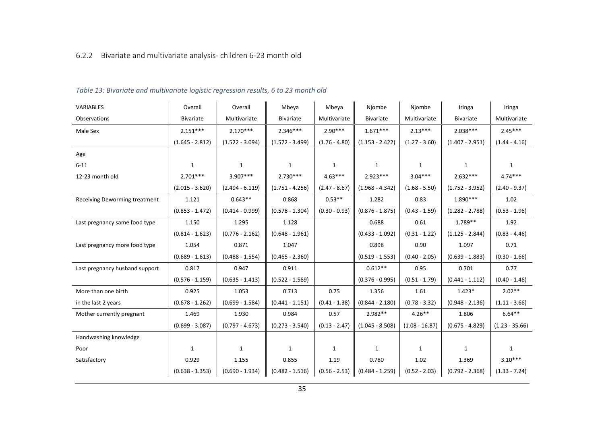## 6.2.2 Bivariate and multivariate analysis- children 6-23 month old

| VARIABLES                      | Overall           | Overall           | Mbeya             | Mbeya           | Njombe            | Njombe           | Iringa            | Iringa           |
|--------------------------------|-------------------|-------------------|-------------------|-----------------|-------------------|------------------|-------------------|------------------|
| Observations                   | Bivariate         | Multivariate      | <b>Bivariate</b>  | Multivariate    | <b>Bivariate</b>  | Multivariate     | <b>Bivariate</b>  | Multivariate     |
| Male Sex                       | $2.151***$        | $2.170***$        | $2.346***$        | $2.90***$       | $1.671***$        | $2.13***$        | $2.038***$        | $2.45***$        |
|                                | $(1.645 - 2.812)$ | $(1.522 - 3.094)$ | $(1.572 - 3.499)$ | $(1.76 - 4.80)$ | $(1.153 - 2.422)$ | $(1.27 - 3.60)$  | $(1.407 - 2.951)$ | $(1.44 - 4.16)$  |
| Age                            |                   |                   |                   |                 |                   |                  |                   |                  |
| $6 - 11$                       | $\mathbf{1}$      | $\mathbf{1}$      | $\mathbf{1}$      | $\mathbf{1}$    | $\mathbf{1}$      | $\mathbf{1}$     | $\mathbf{1}$      | 1                |
| 12-23 month old                | $2.701***$        | $3.907***$        | $2.730***$        | $4.63***$       | $2.923***$        | $3.04***$        | $2.632***$        | $4.74***$        |
|                                | $(2.015 - 3.620)$ | $(2.494 - 6.119)$ | $(1.751 - 4.256)$ | $(2.47 - 8.67)$ | $(1.968 - 4.342)$ | $(1.68 - 5.50)$  | $(1.752 - 3.952)$ | $(2.40 - 9.37)$  |
| Receiving Deworming treatment  | 1.121             | $0.643**$         | 0.868             | $0.53**$        | 1.282             | 0.83             | $1.890***$        | 1.02             |
|                                | $(0.853 - 1.472)$ | $(0.414 - 0.999)$ | $(0.578 - 1.304)$ | $(0.30 - 0.93)$ | $(0.876 - 1.875)$ | $(0.43 - 1.59)$  | $(1.282 - 2.788)$ | $(0.53 - 1.96)$  |
| Last pregnancy same food type  | 1.150             | 1.295             | 1.128             |                 | 0.688             | 0.61             | $1.789**$         | 1.92             |
|                                | $(0.814 - 1.623)$ | $(0.776 - 2.162)$ | $(0.648 - 1.961)$ |                 | $(0.433 - 1.092)$ | $(0.31 - 1.22)$  | $(1.125 - 2.844)$ | $(0.83 - 4.46)$  |
| Last pregnancy more food type  | 1.054             | 0.871             | 1.047             |                 | 0.898             | 0.90             | 1.097             | 0.71             |
|                                | $(0.689 - 1.613)$ | $(0.488 - 1.554)$ | $(0.465 - 2.360)$ |                 | $(0.519 - 1.553)$ | $(0.40 - 2.05)$  | $(0.639 - 1.883)$ | $(0.30 - 1.66)$  |
| Last pregnancy husband support | 0.817             | 0.947             | 0.911             |                 | $0.612**$         | 0.95             | 0.701             | 0.77             |
|                                | $(0.576 - 1.159)$ | $(0.635 - 1.413)$ | $(0.522 - 1.589)$ |                 | $(0.376 - 0.995)$ | $(0.51 - 1.79)$  | $(0.441 - 1.112)$ | $(0.40 - 1.46)$  |
| More than one birth            | 0.925             | 1.053             | 0.713             | 0.75            | 1.356             | 1.61             | $1.423*$          | $2.02**$         |
| in the last 2 years            | $(0.678 - 1.262)$ | $(0.699 - 1.584)$ | $(0.441 - 1.151)$ | $(0.41 - 1.38)$ | $(0.844 - 2.180)$ | $(0.78 - 3.32)$  | $(0.948 - 2.136)$ | $(1.11 - 3.66)$  |
| Mother currently pregnant      | 1.469             | 1.930             | 0.984             | 0.57            | $2.982**$         | $4.26**$         | 1.806             | $6.64***$        |
|                                | $(0.699 - 3.087)$ | $(0.797 - 4.673)$ | $(0.273 - 3.540)$ | $(0.13 - 2.47)$ | $(1.045 - 8.508)$ | $(1.08 - 16.87)$ | $(0.675 - 4.829)$ | $(1.23 - 35.66)$ |
| Handwashing knowledge          |                   |                   |                   |                 |                   |                  |                   |                  |
| Poor                           | $\mathbf{1}$      | 1                 | 1                 | $\mathbf{1}$    | $\mathbf{1}$      | $\mathbf{1}$     | 1                 | $\mathbf{1}$     |
| Satisfactory                   | 0.929             | 1.155             | 0.855             | 1.19            | 0.780             | 1.02             | 1.369             | $3.10***$        |
|                                | $(0.638 - 1.353)$ | $(0.690 - 1.934)$ | $(0.482 - 1.516)$ | $(0.56 - 2.53)$ | $(0.484 - 1.259)$ | $(0.52 - 2.03)$  | $(0.792 - 2.368)$ | $(1.33 - 7.24)$  |

#### Table 13: Bivariate and multivariate logistic regression results, 6 to 23 month old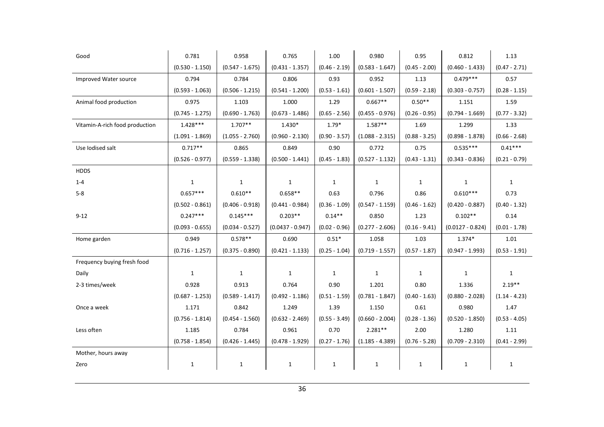| Good                           | 0.781             | 0.958             | 0.765              | 1.00            | 0.980             | 0.95            | 0.812              | 1.13            |
|--------------------------------|-------------------|-------------------|--------------------|-----------------|-------------------|-----------------|--------------------|-----------------|
|                                | $(0.530 - 1.150)$ | $(0.547 - 1.675)$ | $(0.431 - 1.357)$  | $(0.46 - 2.19)$ | $(0.583 - 1.647)$ | $(0.45 - 2.00)$ | $(0.460 - 1.433)$  | $(0.47 - 2.71)$ |
| Improved Water source          | 0.794             | 0.784             | 0.806              | 0.93            | 0.952             | 1.13            | $0.479***$         | 0.57            |
|                                | $(0.593 - 1.063)$ | $(0.506 - 1.215)$ | $(0.541 - 1.200)$  | $(0.53 - 1.61)$ | $(0.601 - 1.507)$ | $(0.59 - 2.18)$ | $(0.303 - 0.757)$  | $(0.28 - 1.15)$ |
| Animal food production         | 0.975             | 1.103             | 1.000              | 1.29            | $0.667**$         | $0.50**$        | 1.151              | 1.59            |
|                                | $(0.745 - 1.275)$ | $(0.690 - 1.763)$ | $(0.673 - 1.486)$  | $(0.65 - 2.56)$ | $(0.455 - 0.976)$ | $(0.26 - 0.95)$ | $(0.794 - 1.669)$  | $(0.77 - 3.32)$ |
| Vitamin-A-rich food production | $1.428***$        | $1.707**$         | $1.430*$           | $1.79*$         | $1.587**$         | 1.69            | 1.299              | 1.33            |
|                                | $(1.091 - 1.869)$ | $(1.055 - 2.760)$ | $(0.960 - 2.130)$  | $(0.90 - 3.57)$ | $(1.088 - 2.315)$ | $(0.88 - 3.25)$ | $(0.898 - 1.878)$  | $(0.66 - 2.68)$ |
| Use lodised salt               | $0.717**$         | 0.865             | 0.849              | 0.90            | 0.772             | 0.75            | $0.535***$         | $0.41***$       |
|                                | $(0.526 - 0.977)$ | $(0.559 - 1.338)$ | $(0.500 - 1.441)$  | $(0.45 - 1.83)$ | $(0.527 - 1.132)$ | $(0.43 - 1.31)$ | $(0.343 - 0.836)$  | $(0.21 - 0.79)$ |
| <b>HDDS</b>                    |                   |                   |                    |                 |                   |                 |                    |                 |
| $1 - 4$                        | $\mathbf{1}$      | $\mathbf{1}$      | $\mathbf{1}$       | $\mathbf{1}$    | $\mathbf{1}$      | $\mathbf{1}$    | $\mathbf{1}$       | $\mathbf{1}$    |
| $5-8$                          | $0.657***$        | $0.610**$         | $0.658**$          | 0.63            | 0.796             | 0.86            | $0.610***$         | 0.73            |
|                                | $(0.502 - 0.861)$ | $(0.406 - 0.918)$ | $(0.441 - 0.984)$  | $(0.36 - 1.09)$ | $(0.547 - 1.159)$ | $(0.46 - 1.62)$ | $(0.420 - 0.887)$  | $(0.40 - 1.32)$ |
| $9 - 12$                       | $0.247***$        | $0.145***$        | $0.203**$          | $0.14***$       | 0.850             | 1.23            | $0.102**$          | 0.14            |
|                                | $(0.093 - 0.655)$ | $(0.034 - 0.527)$ | $(0.0437 - 0.947)$ | $(0.02 - 0.96)$ | $(0.277 - 2.606)$ | $(0.16 - 9.41)$ | $(0.0127 - 0.824)$ | $(0.01 - 1.78)$ |
| Home garden                    | 0.949             | $0.578**$         | 0.690              | $0.51*$         | 1.058             | 1.03            | $1.374*$           | 1.01            |
|                                | $(0.716 - 1.257)$ | $(0.375 - 0.890)$ | $(0.421 - 1.133)$  | $(0.25 - 1.04)$ | $(0.719 - 1.557)$ | $(0.57 - 1.87)$ | $(0.947 - 1.993)$  | $(0.53 - 1.91)$ |
| Frequency buying fresh food    |                   |                   |                    |                 |                   |                 |                    |                 |
| Daily                          | 1                 | $\mathbf{1}$      | $\mathbf{1}$       | $\mathbf{1}$    | $\mathbf{1}$      | $\mathbf{1}$    | $\mathbf{1}$       | $\mathbf{1}$    |
| 2-3 times/week                 | 0.928             | 0.913             | 0.764              | 0.90            | 1.201             | 0.80            | 1.336              | $2.19**$        |
|                                | $(0.687 - 1.253)$ | $(0.589 - 1.417)$ | $(0.492 - 1.186)$  | $(0.51 - 1.59)$ | $(0.781 - 1.847)$ | $(0.40 - 1.63)$ | $(0.880 - 2.028)$  | $(1.14 - 4.23)$ |
| Once a week                    | 1.171             | 0.842             | 1.249              | 1.39            | 1.150             | 0.61            | 0.980              | 1.47            |
|                                | $(0.756 - 1.814)$ | $(0.454 - 1.560)$ | $(0.632 - 2.469)$  | $(0.55 - 3.49)$ | $(0.660 - 2.004)$ | $(0.28 - 1.36)$ | $(0.520 - 1.850)$  | $(0.53 - 4.05)$ |
| Less often                     | 1.185             | 0.784             | 0.961              | 0.70            | $2.281**$         | 2.00            | 1.280              | 1.11            |
|                                | $(0.758 - 1.854)$ | $(0.426 - 1.445)$ | $(0.478 - 1.929)$  | $(0.27 - 1.76)$ | $(1.185 - 4.389)$ | $(0.76 - 5.28)$ | $(0.709 - 2.310)$  | $(0.41 - 2.99)$ |
| Mother, hours away             |                   |                   |                    |                 |                   |                 |                    |                 |
| Zero                           | $\mathbf 1$       | $\mathbf{1}$      | $\mathbf{1}$       | $\mathbf{1}$    | $\mathbf{1}$      | $\mathbf{1}$    | $\mathbf{1}$       | $\mathbf{1}$    |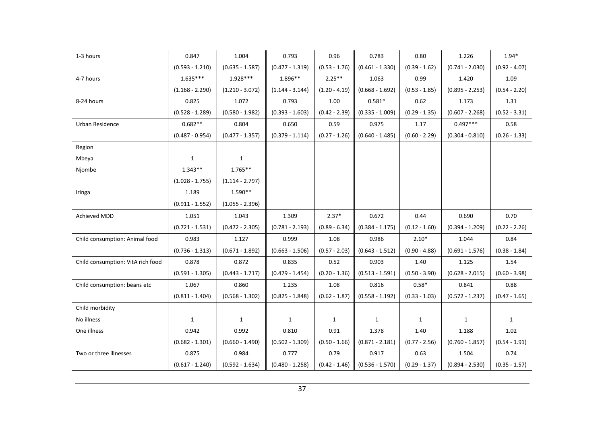| 1-3 hours                         | 0.847             | 1.004             | 0.793             | 0.96            | 0.783             | 0.80            | 1.226             | $1.94*$         |
|-----------------------------------|-------------------|-------------------|-------------------|-----------------|-------------------|-----------------|-------------------|-----------------|
|                                   | $(0.593 - 1.210)$ | $(0.635 - 1.587)$ | $(0.477 - 1.319)$ | $(0.53 - 1.76)$ | $(0.461 - 1.330)$ | $(0.39 - 1.62)$ | $(0.741 - 2.030)$ | $(0.92 - 4.07)$ |
| 4-7 hours                         | $1.635***$        | 1.928***          | 1.896**           | $2.25**$        | 1.063             | 0.99            | 1.420             | 1.09            |
|                                   | $(1.168 - 2.290)$ | $(1.210 - 3.072)$ | $(1.144 - 3.144)$ | $(1.20 - 4.19)$ | $(0.668 - 1.692)$ | $(0.53 - 1.85)$ | $(0.895 - 2.253)$ | $(0.54 - 2.20)$ |
| 8-24 hours                        | 0.825             | 1.072             | 0.793             | 1.00            | $0.581*$          | 0.62            | 1.173             | 1.31            |
|                                   | $(0.528 - 1.289)$ | $(0.580 - 1.982)$ | $(0.393 - 1.603)$ | $(0.42 - 2.39)$ | $(0.335 - 1.009)$ | $(0.29 - 1.35)$ | $(0.607 - 2.268)$ | $(0.52 - 3.31)$ |
| Urban Residence                   | $0.682**$         | 0.804             | 0.650             | 0.59            | 0.975             | 1.17            | $0.497***$        | 0.58            |
|                                   | $(0.487 - 0.954)$ | $(0.477 - 1.357)$ | $(0.379 - 1.114)$ | $(0.27 - 1.26)$ | $(0.640 - 1.485)$ | $(0.60 - 2.29)$ | $(0.304 - 0.810)$ | $(0.26 - 1.33)$ |
| Region                            |                   |                   |                   |                 |                   |                 |                   |                 |
| Mbeya                             | $\mathbf{1}$      | $\mathbf{1}$      |                   |                 |                   |                 |                   |                 |
| Njombe                            | $1.343**$         | $1.765**$         |                   |                 |                   |                 |                   |                 |
|                                   | $(1.028 - 1.755)$ | $(1.114 - 2.797)$ |                   |                 |                   |                 |                   |                 |
| Iringa                            | 1.189             | $1.590**$         |                   |                 |                   |                 |                   |                 |
|                                   | $(0.911 - 1.552)$ | $(1.055 - 2.396)$ |                   |                 |                   |                 |                   |                 |
| Achieved MDD                      | 1.051             | 1.043             | 1.309             | $2.37*$         | 0.672             | 0.44            | 0.690             | 0.70            |
|                                   | $(0.721 - 1.531)$ | $(0.472 - 2.305)$ | $(0.781 - 2.193)$ | $(0.89 - 6.34)$ | $(0.384 - 1.175)$ | $(0.12 - 1.60)$ | $(0.394 - 1.209)$ | $(0.22 - 2.26)$ |
| Child consumption: Animal food    | 0.983             | 1.127             | 0.999             | 1.08            | 0.986             | $2.10*$         | 1.044             | 0.84            |
|                                   | $(0.736 - 1.313)$ | $(0.671 - 1.892)$ | $(0.663 - 1.506)$ | $(0.57 - 2.03)$ | $(0.643 - 1.512)$ | $(0.90 - 4.88)$ | $(0.691 - 1.576)$ | $(0.38 - 1.84)$ |
| Child consumption: VitA rich food | 0.878             | 0.872             | 0.835             | 0.52            | 0.903             | 1.40            | 1.125             | 1.54            |
|                                   | $(0.591 - 1.305)$ | $(0.443 - 1.717)$ | $(0.479 - 1.454)$ | $(0.20 - 1.36)$ | $(0.513 - 1.591)$ | $(0.50 - 3.90)$ | $(0.628 - 2.015)$ | $(0.60 - 3.98)$ |
| Child consumption: beans etc      | 1.067             | 0.860             | 1.235             | 1.08            | 0.816             | $0.58*$         | 0.841             | 0.88            |
|                                   | $(0.811 - 1.404)$ | $(0.568 - 1.302)$ | $(0.825 - 1.848)$ | $(0.62 - 1.87)$ | $(0.558 - 1.192)$ | $(0.33 - 1.03)$ | $(0.572 - 1.237)$ | $(0.47 - 1.65)$ |
| Child morbidity                   |                   |                   |                   |                 |                   |                 |                   |                 |
| No illness                        | $\mathbf{1}$      | $\mathbf{1}$      | $\mathbf{1}$      | 1               | $\mathbf{1}$      | 1               | $\mathbf{1}$      | $\mathbf{1}$    |
| One illness                       | 0.942             | 0.992             | 0.810             | 0.91            | 1.378             | 1.40            | 1.188             | 1.02            |
|                                   | $(0.682 - 1.301)$ | $(0.660 - 1.490)$ | $(0.502 - 1.309)$ | $(0.50 - 1.66)$ | $(0.871 - 2.181)$ | $(0.77 - 2.56)$ | $(0.760 - 1.857)$ | $(0.54 - 1.91)$ |
| Two or three illnesses            | 0.875             | 0.984             | 0.777             | 0.79            | 0.917             | 0.63            | 1.504             | 0.74            |
|                                   | $(0.617 - 1.240)$ | $(0.592 - 1.634)$ | $(0.480 - 1.258)$ | $(0.42 - 1.46)$ | $(0.536 - 1.570)$ | $(0.29 - 1.37)$ | $(0.894 - 2.530)$ | $(0.35 - 1.57)$ |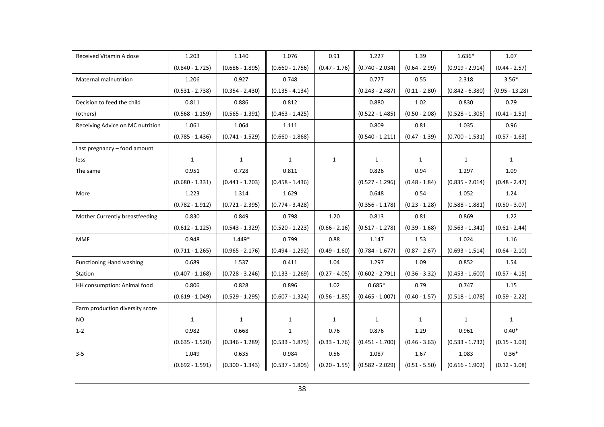| Received Vitamin A dose          | 1.203             | 1.140             | 1.076             | 0.91            | 1.227             | 1.39            | 1.636*            | 1.07             |
|----------------------------------|-------------------|-------------------|-------------------|-----------------|-------------------|-----------------|-------------------|------------------|
|                                  | $(0.840 - 1.725)$ | $(0.686 - 1.895)$ | $(0.660 - 1.756)$ | $(0.47 - 1.76)$ | $(0.740 - 2.034)$ | $(0.64 - 2.99)$ | $(0.919 - 2.914)$ | $(0.44 - 2.57)$  |
| <b>Maternal malnutrition</b>     | 1.206             | 0.927             | 0.748             |                 | 0.777             | 0.55            | 2.318             | $3.56*$          |
|                                  | $(0.531 - 2.738)$ | $(0.354 - 2.430)$ | $(0.135 - 4.134)$ |                 | $(0.243 - 2.487)$ | $(0.11 - 2.80)$ | $(0.842 - 6.380)$ | $(0.95 - 13.28)$ |
| Decision to feed the child       | 0.811             | 0.886             | 0.812             |                 | 0.880             | 1.02            | 0.830             | 0.79             |
| (others)                         | $(0.568 - 1.159)$ | $(0.565 - 1.391)$ | $(0.463 - 1.425)$ |                 | $(0.522 - 1.485)$ | $(0.50 - 2.08)$ | $(0.528 - 1.305)$ | $(0.41 - 1.51)$  |
| Receiving Advice on MC nutrition | 1.061             | 1.064             | 1.111             |                 | 0.809             | 0.81            | 1.035             | 0.96             |
|                                  | $(0.785 - 1.436)$ | $(0.741 - 1.529)$ | $(0.660 - 1.868)$ |                 | $(0.540 - 1.211)$ | $(0.47 - 1.39)$ | $(0.700 - 1.531)$ | $(0.57 - 1.63)$  |
| Last pregnancy - food amount     |                   |                   |                   |                 |                   |                 |                   |                  |
| less                             | $\mathbf{1}$      | $\mathbf{1}$      | $\mathbf{1}$      | $\mathbf{1}$    | $\mathbf{1}$      | $\mathbf{1}$    | $\mathbf{1}$      | $\mathbf{1}$     |
| The same                         | 0.951             | 0.728             | 0.811             |                 | 0.826             | 0.94            | 1.297             | 1.09             |
|                                  | $(0.680 - 1.331)$ | $(0.441 - 1.203)$ | $(0.458 - 1.436)$ |                 | $(0.527 - 1.296)$ | $(0.48 - 1.84)$ | $(0.835 - 2.014)$ | $(0.48 - 2.47)$  |
| More                             | 1.223             | 1.314             | 1.629             |                 | 0.648             | 0.54            | 1.052             | 1.24             |
|                                  | $(0.782 - 1.912)$ | $(0.721 - 2.395)$ | $(0.774 - 3.428)$ |                 | $(0.356 - 1.178)$ | $(0.23 - 1.28)$ | $(0.588 - 1.881)$ | $(0.50 - 3.07)$  |
| Mother Currently breastfeeding   | 0.830             | 0.849             | 0.798             | 1.20            | 0.813             | 0.81            | 0.869             | 1.22             |
|                                  | $(0.612 - 1.125)$ | $(0.543 - 1.329)$ | $(0.520 - 1.223)$ | $(0.66 - 2.16)$ | $(0.517 - 1.278)$ | $(0.39 - 1.68)$ | $(0.563 - 1.341)$ | $(0.61 - 2.44)$  |
| <b>MMF</b>                       | 0.948             | $1.449*$          | 0.799             | 0.88            | 1.147             | 1.53            | 1.024             | 1.16             |
|                                  | $(0.711 - 1.265)$ | $(0.965 - 2.176)$ | $(0.494 - 1.292)$ | $(0.49 - 1.60)$ | $(0.784 - 1.677)$ | $(0.87 - 2.67)$ | $(0.693 - 1.514)$ | $(0.64 - 2.10)$  |
| <b>Functioning Hand washing</b>  | 0.689             | 1.537             | 0.411             | 1.04            | 1.297             | 1.09            | 0.852             | 1.54             |
| Station                          | $(0.407 - 1.168)$ | $(0.728 - 3.246)$ | $(0.133 - 1.269)$ | $(0.27 - 4.05)$ | $(0.602 - 2.791)$ | $(0.36 - 3.32)$ | $(0.453 - 1.600)$ | $(0.57 - 4.15)$  |
| HH consumption: Animal food      | 0.806             | 0.828             | 0.896             | 1.02            | $0.685*$          | 0.79            | 0.747             | 1.15             |
|                                  | $(0.619 - 1.049)$ | $(0.529 - 1.295)$ | $(0.607 - 1.324)$ | $(0.56 - 1.85)$ | $(0.465 - 1.007)$ | $(0.40 - 1.57)$ | $(0.518 - 1.078)$ | $(0.59 - 2.22)$  |
| Farm production diversity score  |                   |                   |                   |                 |                   |                 |                   |                  |
| <b>NO</b>                        | $\mathbf{1}$      | $\mathbf{1}$      | $\mathbf{1}$      | 1               | 1                 | $\mathbf{1}$    | $\mathbf{1}$      | $\mathbf{1}$     |
| $1 - 2$                          | 0.982             | 0.668             | $\mathbf{1}$      | 0.76            | 0.876             | 1.29            | 0.961             | $0.40*$          |
|                                  | $(0.635 - 1.520)$ | $(0.346 - 1.289)$ | $(0.533 - 1.875)$ | $(0.33 - 1.76)$ | $(0.451 - 1.700)$ | $(0.46 - 3.63)$ | $(0.533 - 1.732)$ | $(0.15 - 1.03)$  |
| $3 - 5$                          | 1.049             | 0.635             | 0.984             | 0.56            | 1.087             | 1.67            | 1.083             | $0.36*$          |
|                                  | $(0.692 - 1.591)$ | $(0.300 - 1.343)$ | $(0.537 - 1.805)$ | $(0.20 - 1.55)$ | $(0.582 - 2.029)$ | $(0.51 - 5.50)$ | $(0.616 - 1.902)$ | $(0.12 - 1.08)$  |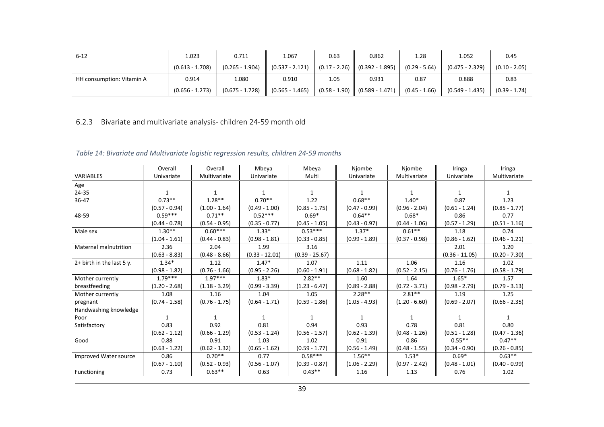| $6 - 12$                  | 1.023             | 0.711             | 1.067             | 0.63            | 0.862                             | 1.28            | 1.052             | 0.45            |
|---------------------------|-------------------|-------------------|-------------------|-----------------|-----------------------------------|-----------------|-------------------|-----------------|
|                           | $(0.613 - 1.708)$ | $(0.265 - 1.904)$ | $(0.537 - 2.121)$ | $(0.17 - 2.26)$ | $(0.392 - 1.895)$                 | $(0.29 - 5.64)$ | $(0.475 - 2.329)$ | $(0.10 - 2.05)$ |
| HH consumption: Vitamin A | 0.914             | 1.080             | 0.910             | 1.05            | 0.931                             | 0.87            | 0.888             | 0.83            |
|                           | $(0.656 - 1.273)$ | $(0.675 - 1.728)$ | $(0.565 - 1.465)$ |                 | $(0.58 - 1.90)$ $(0.589 - 1.471)$ | $(0.45 - 1.66)$ | $(0.549 - 1.435)$ | $(0.39 - 1.74)$ |

### 6.2.3 Bivariate and multivariate analysis- children 24-59 month old

#### Table 14: Bivariate and Multivariate logistic regression results, children 24-59 months

|                              | Overall         | Overall         | Mbeya            | Mbeya            | Njombe          | Njombe          | Iringa           | Iringa          |
|------------------------------|-----------------|-----------------|------------------|------------------|-----------------|-----------------|------------------|-----------------|
| VARIABLES                    | Univariate      | Multivariate    | Univariate       | Multi            | Univariate      | Multivariate    | Univariate       | Multivariate    |
| Age                          |                 |                 |                  |                  |                 |                 |                  |                 |
| 24-35                        |                 |                 |                  | 1                |                 |                 |                  | 1               |
| $36 - 47$                    | $0.73**$        | $1.28**$        | $0.70**$         | 1.22             | $0.68**$        | $1.40*$         | 0.87             | 1.23            |
|                              | $(0.57 - 0.94)$ | $(1.00 - 1.64)$ | $(0.49 - 1.00)$  | $(0.85 - 1.75)$  | $(0.47 - 0.99)$ | $(0.96 - 2.04)$ | $(0.61 - 1.24)$  | $(0.85 - 1.77)$ |
| 48-59                        | $0.59***$       | $0.71**$        | $0.52***$        | $0.69*$          | $0.64**$        | $0.68*$         | 0.86             | 0.77            |
|                              | $(0.44 - 0.78)$ | $(0.54 - 0.95)$ | $(0.35 - 0.77)$  | $(0.45 - 1.05)$  | $(0.43 - 0.97)$ | $(0.44 - 1.06)$ | $(0.57 - 1.29)$  | $(0.51 - 1.16)$ |
| Male sex                     | $1.30**$        | $0.60***$       | $1.33*$          | $0.53***$        | $1.37*$         | $0.61***$       | 1.18             | 0.74            |
|                              | $(1.04 - 1.61)$ | $(0.44 - 0.83)$ | $(0.98 - 1.81)$  | $(0.33 - 0.85)$  | $(0.99 - 1.89)$ | $(0.37 - 0.98)$ | $(0.86 - 1.62)$  | $(0.46 - 1.21)$ |
| <b>Maternal malnutrition</b> | 2.36            | 2.04            | 1.99             | 3.16             |                 |                 | 2.01             | 1.20            |
|                              | $(0.63 - 8.83)$ | $(0.48 - 8.66)$ | $(0.33 - 12.01)$ | $(0.39 - 25.67)$ |                 |                 | $(0.36 - 11.05)$ | $(0.20 - 7.30)$ |
| $2+$ birth in the last 5 y.  | $1.34*$         | 1.12            | $1.47*$          | 1.07             | 1.11            | 1.06            | 1.16             | 1.02            |
|                              | $(0.98 - 1.82)$ | $(0.76 - 1.66)$ | $(0.95 - 2.26)$  | $(0.60 - 1.91)$  | $(0.68 - 1.82)$ | $(0.52 - 2.15)$ | $(0.76 - 1.76)$  | $(0.58 - 1.79)$ |
| Mother currently             | $1.79***$       | $1.97***$       | $1.83*$          | $2.82**$         | 1.60            | 1.64            | $1.65*$          | 1.57            |
| breastfeeding                | $(1.20 - 2.68)$ | $(1.18 - 3.29)$ | $(0.99 - 3.39)$  | $(1.23 - 6.47)$  | $(0.89 - 2.88)$ | $(0.72 - 3.71)$ | $(0.98 - 2.79)$  | $(0.79 - 3.13)$ |
| Mother currently             | 1.08            | 1.16            | 1.04             | 1.05             | $2.28**$        | $2.81***$       | 1.19             | 1.25            |
| pregnant                     | $(0.74 - 1.58)$ | $(0.76 - 1.75)$ | $(0.64 - 1.71)$  | $(0.59 - 1.86)$  | $(1.05 - 4.93)$ | $(1.20 - 6.60)$ | $(0.69 - 2.07)$  | $(0.66 - 2.35)$ |
| Handwashing knowledge        |                 |                 |                  |                  |                 |                 |                  |                 |
| Poor                         | 1               | 1               |                  | 1                |                 | 1               |                  | 1               |
| Satisfactory                 | 0.83            | 0.92            | 0.81             | 0.94             | 0.93            | 0.78            | 0.81             | 0.80            |
|                              | $(0.62 - 1.12)$ | $(0.66 - 1.29)$ | $(0.53 - 1.24)$  | $(0.56 - 1.57)$  | $(0.62 - 1.39)$ | $(0.48 - 1.26)$ | $(0.51 - 1.28)$  | $(0.47 - 1.36)$ |
| Good                         | 0.88            | 0.91            | 1.03             | 1.02             | 0.91            | 0.86            | $0.55***$        | $0.47**$        |
|                              | $(0.63 - 1.22)$ | $(0.62 - 1.32)$ | $(0.65 - 1.62)$  | $(0.59 - 1.77)$  | $(0.56 - 1.49)$ | $(0.48 - 1.55)$ | $(0.34 - 0.90)$  | $(0.26 - 0.85)$ |
| Improved Water source        | 0.86            | $0.70**$        | 0.77             | $0.58***$        | $1.56***$       | $1.53*$         | $0.69*$          | $0.63**$        |
|                              | $(0.67 - 1.10)$ | $(0.52 - 0.93)$ | $(0.56 - 1.07)$  | $(0.39 - 0.87)$  | $(1.06 - 2.29)$ | $(0.97 - 2.42)$ | $(0.48 - 1.01)$  | $(0.40 - 0.99)$ |
| Functioning                  | 0.73            | $0.63***$       | 0.63             | $0.43**$         | 1.16            | 1.13            | 0.76             | 1.02            |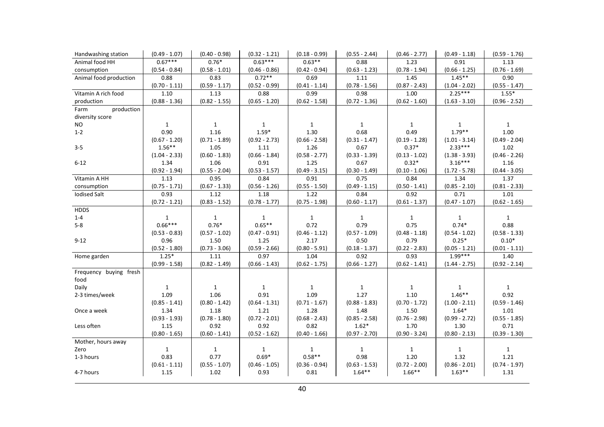| Handwashing station    | $(0.49 - 1.07)$ | $(0.40 - 0.98)$ | $(0.32 - 1.21)$ | $(0.18 - 0.99)$ | $(0.55 - 2.44)$ | $(0.46 - 2.77)$ | $(0.49 - 1.18)$ | $(0.59 - 1.76)$ |
|------------------------|-----------------|-----------------|-----------------|-----------------|-----------------|-----------------|-----------------|-----------------|
| Animal food HH         | $0.67***$       | $0.76*$         | $0.63***$       | $0.63**$        | 0.88            | 1.23            | 0.91            | 1.13            |
| consumption            | $(0.54 - 0.84)$ | $(0.58 - 1.01)$ | $(0.46 - 0.86)$ | $(0.42 - 0.94)$ | $(0.63 - 1.23)$ | $(0.78 - 1.94)$ | $(0.66 - 1.25)$ | $(0.76 - 1.69)$ |
| Animal food production | 0.88            | 0.83            | $0.72**$        | 0.69            | 1.11            | 1.45            | $1.45***$       | 0.90            |
|                        | $(0.70 - 1.11)$ | $(0.59 - 1.17)$ | $(0.52 - 0.99)$ | $(0.41 - 1.14)$ | $(0.78 - 1.56)$ | $(0.87 - 2.43)$ | $(1.04 - 2.02)$ | $(0.55 - 1.47)$ |
| Vitamin A rich food    | 1.10            | 1.13            | 0.88            | 0.99            | 0.98            | 1.00            | $2.25***$       | $1.55*$         |
| production             | $(0.88 - 1.36)$ | $(0.82 - 1.55)$ | $(0.65 - 1.20)$ | $(0.62 - 1.58)$ | $(0.72 - 1.36)$ | $(0.62 - 1.60)$ | $(1.63 - 3.10)$ | $(0.96 - 2.52)$ |
| production<br>Farm     |                 |                 |                 |                 |                 |                 |                 |                 |
| diversity score        |                 |                 |                 |                 |                 |                 |                 |                 |
| NO.                    | $\mathbf{1}$    | $\mathbf{1}$    | 1               | $\mathbf{1}$    | $\mathbf{1}$    | $\mathbf{1}$    | $\mathbf{1}$    | $\mathbf{1}$    |
| $1 - 2$                | 0.90            | 1.16            | $1.59*$         | 1.30            | 0.68            | 0.49            | $1.79**$        | 1.00            |
|                        | $(0.67 - 1.20)$ | $(0.71 - 1.89)$ | $(0.92 - 2.73)$ | $(0.66 - 2.58)$ | $(0.31 - 1.47)$ | $(0.19 - 1.28)$ | $(1.01 - 3.14)$ | $(0.49 - 2.04)$ |
| $3 - 5$                | $1.56***$       | 1.05            | 1.11            | 1.26            | 0.67            | $0.37*$         | $2.33***$       | 1.02            |
|                        | $(1.04 - 2.33)$ | $(0.60 - 1.83)$ | $(0.66 - 1.84)$ | $(0.58 - 2.77)$ | $(0.33 - 1.39)$ | $(0.13 - 1.02)$ | $(1.38 - 3.93)$ | $(0.46 - 2.26)$ |
| $6 - 12$               | 1.34            | 1.06            | 0.91            | 1.25            | 0.67            | $0.32*$         | $3.16***$       | 1.16            |
|                        | $(0.92 - 1.94)$ | $(0.55 - 2.04)$ | $(0.53 - 1.57)$ | $(0.49 - 3.15)$ | $(0.30 - 1.49)$ | $(0.10 - 1.06)$ | $(1.72 - 5.78)$ | $(0.44 - 3.05)$ |
| Vitamin A HH           | 1.13            | 0.95            | 0.84            | 0.91            | 0.75            | 0.84            | 1.34            | 1.37            |
| consumption            | $(0.75 - 1.71)$ | $(0.67 - 1.33)$ | $(0.56 - 1.26)$ | $(0.55 - 1.50)$ | $(0.49 - 1.15)$ | $(0.50 - 1.41)$ | $(0.85 - 2.10)$ | $(0.81 - 2.33)$ |
| <b>Iodised Salt</b>    | 0.93            | 1.12            | 1.18            | 1.22            | 0.84            | 0.92            | 0.71            | 1.01            |
|                        | $(0.72 - 1.21)$ | $(0.83 - 1.52)$ | $(0.78 - 1.77)$ | $(0.75 - 1.98)$ | $(0.60 - 1.17)$ | $(0.61 - 1.37)$ | $(0.47 - 1.07)$ | $(0.62 - 1.65)$ |
| <b>HDDS</b>            |                 |                 |                 |                 |                 |                 |                 |                 |
| $1 - 4$                | $\mathbf{1}$    | $\mathbf{1}$    | $\mathbf{1}$    | $\mathbf{1}$    | $\mathbf{1}$    | $\mathbf{1}$    | 1               | $\mathbf{1}$    |
| $5-8$                  | $0.66***$       | $0.76*$         | $0.65**$        | 0.72            | 0.79            | 0.75            | $0.74*$         | 0.88            |
|                        | $(0.53 - 0.83)$ | $(0.57 - 1.02)$ | $(0.47 - 0.91)$ | $(0.46 - 1.12)$ | $(0.57 - 1.09)$ | $(0.48 - 1.18)$ | $(0.54 - 1.02)$ | $(0.58 - 1.33)$ |
| $9 - 12$               | 0.96            | 1.50            | 1.25            | 2.17            | 0.50            | 0.79            | $0.25*$         | $0.10*$         |
|                        | $(0.52 - 1.80)$ | $(0.73 - 3.06)$ | $(0.59 - 2.66)$ | $(0.80 - 5.91)$ | $(0.18 - 1.37)$ | $(0.22 - 2.83)$ | $(0.05 - 1.21)$ | $(0.01 - 1.11)$ |
| Home garden            | $1.25*$         | 1.11            | 0.97            | 1.04            | 0.92            | 0.93            | $1.99***$       | 1.40            |
|                        | $(0.99 - 1.58)$ | $(0.82 - 1.49)$ | $(0.66 - 1.43)$ | $(0.62 - 1.75)$ | $(0.66 - 1.27)$ | $(0.62 - 1.41)$ | $(1.44 - 2.75)$ | $(0.92 - 2.14)$ |
| Frequency buying fresh |                 |                 |                 |                 |                 |                 |                 |                 |
| food                   |                 |                 |                 |                 |                 |                 |                 |                 |
| Daily                  | $\mathbf{1}$    | $\mathbf{1}$    | $\mathbf{1}$    | $\mathbf{1}$    | $\mathbf{1}$    | $\mathbf{1}$    | 1               | $\mathbf{1}$    |
| 2-3 times/week         | 1.09            | 1.06            | 0.91            | 1.09            | 1.27            | 1.10            | $1.46**$        | 0.92            |
|                        | $(0.85 - 1.41)$ | $(0.80 - 1.42)$ | $(0.64 - 1.31)$ | $(0.71 - 1.67)$ | $(0.88 - 1.83)$ | $(0.70 - 1.72)$ | $(1.00 - 2.11)$ | $(0.59 - 1.46)$ |
| Once a week            | 1.34            | 1.18            | 1.21            | 1.28            | 1.48            | 1.50            | $1.64*$         | 1.01            |
|                        | $(0.93 - 1.93)$ | $(0.78 - 1.80)$ | $(0.72 - 2.01)$ | $(0.68 - 2.43)$ | $(0.85 - 2.58)$ | $(0.76 - 2.98)$ | $(0.99 - 2.72)$ | $(0.55 - 1.85)$ |
| Less often             | 1.15            | 0.92            | 0.92            | 0.82            | $1.62*$         | 1.70            | 1.30            | 0.71            |
|                        | $(0.80 - 1.65)$ | $(0.60 - 1.41)$ | $(0.52 - 1.62)$ | $(0.40 - 1.66)$ | $(0.97 - 2.70)$ | $(0.90 - 3.24)$ | $(0.80 - 2.13)$ | $(0.39 - 1.30)$ |
| Mother, hours away     |                 |                 |                 |                 |                 |                 |                 |                 |
| Zero                   | $\mathbf{1}$    | $\mathbf{1}$    | $\mathbf{1}$    | $\mathbf{1}$    | $\mathbf{1}$    | $\mathbf{1}$    | $\mathbf{1}$    | $\mathbf{1}$    |
| 1-3 hours              | 0.83            | 0.77            | $0.69*$         | $0.58**$        | 0.98            | 1.20            | 1.32            | 1.21            |
|                        | $(0.61 - 1.11)$ | $(0.55 - 1.07)$ | $(0.46 - 1.05)$ | $(0.36 - 0.94)$ | $(0.63 - 1.53)$ | $(0.72 - 2.00)$ | $(0.86 - 2.01)$ | $(0.74 - 1.97)$ |
| 4-7 hours              | 1.15            | 1.02            | 0.93            | 0.81            | $1.64***$       | $1.66**$        | $1.63**$        | 1.31            |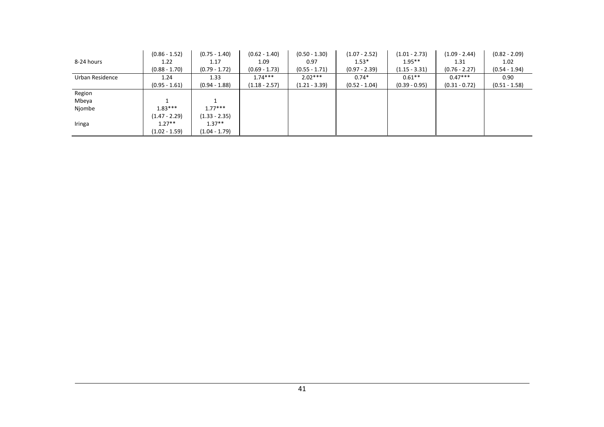|                 | $(0.86 - 1.52)$ | $(0.75 - 1.40)$ | $(0.62 - 1.40)$ | $(0.50 - 1.30)$ | $(1.07 - 2.52)$ | $(1.01 - 2.73)$ | $(1.09 - 2.44)$ | $(0.82 - 2.09)$ |
|-----------------|-----------------|-----------------|-----------------|-----------------|-----------------|-----------------|-----------------|-----------------|
| 8-24 hours      | 1.22            | 1.17            | 1.09            | 0.97            | $1.53*$         | $1.95**$        | 1.31            | 1.02            |
|                 | $(0.88 - 1.70)$ | $(0.79 - 1.72)$ | $(0.69 - 1.73)$ | $(0.55 - 1.71)$ | $(0.97 - 2.39)$ | $(1.15 - 3.31)$ | $(0.76 - 2.27)$ | $(0.54 - 1.94)$ |
| Urban Residence | 1.24            | 1.33            | $1.74***$       | $2.02***$       | $0.74*$         | $0.61**$        | $0.47***$       | 0.90            |
|                 | $(0.95 - 1.61)$ | $(0.94 - 1.88)$ | $(1.18 - 2.57)$ | $(1.21 - 3.39)$ | $(0.52 - 1.04)$ | $(0.39 - 0.95)$ | $(0.31 - 0.72)$ | $(0.51 - 1.58)$ |
| Region          |                 |                 |                 |                 |                 |                 |                 |                 |
| Mbeya           |                 |                 |                 |                 |                 |                 |                 |                 |
| Njombe          | $1.83***$       | $1.77***$       |                 |                 |                 |                 |                 |                 |
|                 | $(1.47 - 2.29)$ | $(1.33 - 2.35)$ |                 |                 |                 |                 |                 |                 |
| Iringa          | $1.27**$        | $1.37**$        |                 |                 |                 |                 |                 |                 |
|                 | $(1.02 - 1.59)$ | $(1.04 - 1.79)$ |                 |                 |                 |                 |                 |                 |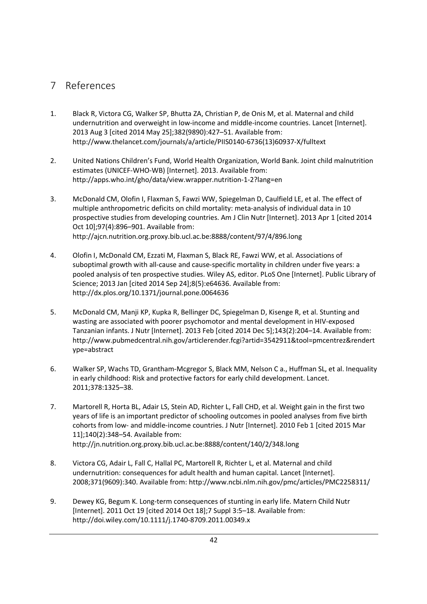## 7 References

- 1. Black R, Victora CG, Walker SP, Bhutta ZA, Christian P, de Onis M, et al. Maternal and child undernutrition and overweight in low-income and middle-income countries. Lancet [Internet]. 2013 Aug 3 [cited 2014 May 25];382(9890):427–51. Available from: http://www.thelancet.com/journals/a/article/PIIS0140-6736(13)60937-X/fulltext
- 2. United Nations Children's Fund, World Health Organization, World Bank. Joint child malnutrition estimates (UNICEF-WHO-WB) [Internet]. 2013. Available from: http://apps.who.int/gho/data/view.wrapper.nutrition-1-2?lang=en
- 3. McDonald CM, Olofin I, Flaxman S, Fawzi WW, Spiegelman D, Caulfield LE, et al. The effect of multiple anthropometric deficits on child mortality: meta-analysis of individual data in 10 prospective studies from developing countries. Am J Clin Nutr [Internet]. 2013 Apr 1 [cited 2014 Oct 10];97(4):896–901. Available from: http://ajcn.nutrition.org.proxy.bib.ucl.ac.be:8888/content/97/4/896.long
- 4. Olofin I, McDonald CM, Ezzati M, Flaxman S, Black RE, Fawzi WW, et al. Associations of suboptimal growth with all-cause and cause-specific mortality in children under five years: a pooled analysis of ten prospective studies. Wiley AS, editor. PLoS One [Internet]. Public Library of Science; 2013 Jan [cited 2014 Sep 24];8(5):e64636. Available from: http://dx.plos.org/10.1371/journal.pone.0064636
- 5. McDonald CM, Manji KP, Kupka R, Bellinger DC, Spiegelman D, Kisenge R, et al. Stunting and wasting are associated with poorer psychomotor and mental development in HIV-exposed Tanzanian infants. J Nutr [Internet]. 2013 Feb [cited 2014 Dec 5];143(2):204–14. Available from: http://www.pubmedcentral.nih.gov/articlerender.fcgi?artid=3542911&tool=pmcentrez&rendert ype=abstract
- 6. Walker SP, Wachs TD, Grantham-Mcgregor S, Black MM, Nelson C a., Huffman SL, et al. Inequality in early childhood: Risk and protective factors for early child development. Lancet. 2011;378:1325–38.
- 7. Martorell R, Horta BL, Adair LS, Stein AD, Richter L, Fall CHD, et al. Weight gain in the first two years of life is an important predictor of schooling outcomes in pooled analyses from five birth cohorts from low- and middle-income countries. J Nutr [Internet]. 2010 Feb 1 [cited 2015 Mar 11];140(2):348–54. Available from: http://jn.nutrition.org.proxy.bib.ucl.ac.be:8888/content/140/2/348.long
- 8. Victora CG, Adair L, Fall C, Hallal PC, Martorell R, Richter L, et al. Maternal and child undernutrition: consequences for adult health and human capital. Lancet [Internet]. 2008;371(9609):340. Available from: http://www.ncbi.nlm.nih.gov/pmc/articles/PMC2258311/
- 9. Dewey KG, Begum K. Long-term consequences of stunting in early life. Matern Child Nutr [Internet]. 2011 Oct 19 [cited 2014 Oct 18];7 Suppl 3:5–18. Available from: http://doi.wiley.com/10.1111/j.1740-8709.2011.00349.x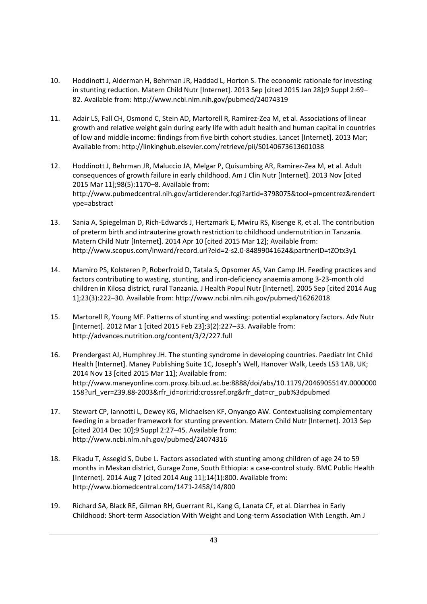- 10. Hoddinott J, Alderman H, Behrman JR, Haddad L, Horton S. The economic rationale for investing in stunting reduction. Matern Child Nutr [Internet]. 2013 Sep [cited 2015 Jan 28];9 Suppl 2:69– 82. Available from: http://www.ncbi.nlm.nih.gov/pubmed/24074319
- 11. Adair LS, Fall CH, Osmond C, Stein AD, Martorell R, Ramirez-Zea M, et al. Associations of linear growth and relative weight gain during early life with adult health and human capital in countries of low and middle income: findings from five birth cohort studies. Lancet [Internet]. 2013 Mar; Available from: http://linkinghub.elsevier.com/retrieve/pii/S0140673613601038
- 12. Hoddinott J, Behrman JR, Maluccio JA, Melgar P, Quisumbing AR, Ramirez-Zea M, et al. Adult consequences of growth failure in early childhood. Am J Clin Nutr [Internet]. 2013 Nov [cited 2015 Mar 11];98(5):1170–8. Available from: http://www.pubmedcentral.nih.gov/articlerender.fcgi?artid=3798075&tool=pmcentrez&rendert ype=abstract
- 13. Sania A, Spiegelman D, Rich-Edwards J, Hertzmark E, Mwiru RS, Kisenge R, et al. The contribution of preterm birth and intrauterine growth restriction to childhood undernutrition in Tanzania. Matern Child Nutr [Internet]. 2014 Apr 10 [cited 2015 Mar 12]; Available from: http://www.scopus.com/inward/record.url?eid=2-s2.0-84899041624&partnerID=tZOtx3y1
- 14. Mamiro PS, Kolsteren P, Roberfroid D, Tatala S, Opsomer AS, Van Camp JH. Feeding practices and factors contributing to wasting, stunting, and iron-deficiency anaemia among 3-23-month old children in Kilosa district, rural Tanzania. J Health Popul Nutr [Internet]. 2005 Sep [cited 2014 Aug 1];23(3):222–30. Available from: http://www.ncbi.nlm.nih.gov/pubmed/16262018
- 15. Martorell R, Young MF. Patterns of stunting and wasting: potential explanatory factors. Adv Nutr [Internet]. 2012 Mar 1 [cited 2015 Feb 23];3(2):227–33. Available from: http://advances.nutrition.org/content/3/2/227.full
- 16. Prendergast AJ, Humphrey JH. The stunting syndrome in developing countries. Paediatr Int Child Health [Internet]. Maney Publishing Suite 1C, Joseph's Well, Hanover Walk, Leeds LS3 1AB, UK; 2014 Nov 13 [cited 2015 Mar 11]; Available from: http://www.maneyonline.com.proxy.bib.ucl.ac.be:8888/doi/abs/10.1179/2046905514Y.0000000 158?url\_ver=Z39.88-2003&rfr\_id=ori:rid:crossref.org&rfr\_dat=cr\_pub%3dpubmed
- 17. Stewart CP, Iannotti L, Dewey KG, Michaelsen KF, Onyango AW. Contextualising complementary feeding in a broader framework for stunting prevention. Matern Child Nutr [Internet]. 2013 Sep [cited 2014 Dec 10];9 Suppl 2:27–45. Available from: http://www.ncbi.nlm.nih.gov/pubmed/24074316
- 18. Fikadu T, Assegid S, Dube L. Factors associated with stunting among children of age 24 to 59 months in Meskan district, Gurage Zone, South Ethiopia: a case-control study. BMC Public Health [Internet]. 2014 Aug 7 [cited 2014 Aug 11];14(1):800. Available from: http://www.biomedcentral.com/1471-2458/14/800
- 19. Richard SA, Black RE, Gilman RH, Guerrant RL, Kang G, Lanata CF, et al. Diarrhea in Early Childhood: Short-term Association With Weight and Long-term Association With Length. Am J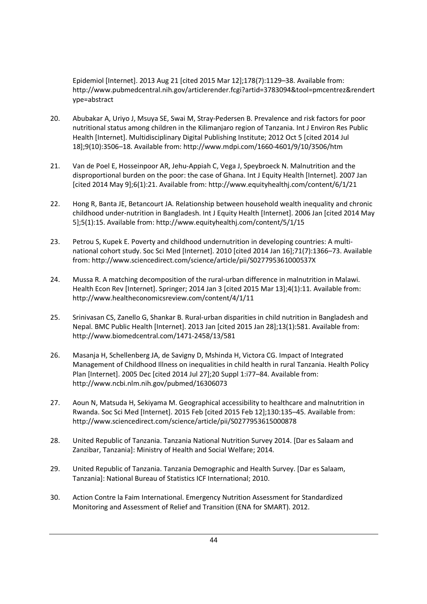Epidemiol [Internet]. 2013 Aug 21 [cited 2015 Mar 12];178(7):1129–38. Available from: http://www.pubmedcentral.nih.gov/articlerender.fcgi?artid=3783094&tool=pmcentrez&rendert ype=abstract

- 20. Abubakar A, Uriyo J, Msuya SE, Swai M, Stray-Pedersen B. Prevalence and risk factors for poor nutritional status among children in the Kilimanjaro region of Tanzania. Int J Environ Res Public Health [Internet]. Multidisciplinary Digital Publishing Institute; 2012 Oct 5 [cited 2014 Jul 18];9(10):3506–18. Available from: http://www.mdpi.com/1660-4601/9/10/3506/htm
- 21. Van de Poel E, Hosseinpoor AR, Jehu-Appiah C, Vega J, Speybroeck N. Malnutrition and the disproportional burden on the poor: the case of Ghana. Int J Equity Health [Internet]. 2007 Jan [cited 2014 May 9];6(1):21. Available from: http://www.equityhealthj.com/content/6/1/21
- 22. Hong R, Banta JE, Betancourt JA. Relationship between household wealth inequality and chronic childhood under-nutrition in Bangladesh. Int J Equity Health [Internet]. 2006 Jan [cited 2014 May 5];5(1):15. Available from: http://www.equityhealthj.com/content/5/1/15
- 23. Petrou S, Kupek E. Poverty and childhood undernutrition in developing countries: A multinational cohort study. Soc Sci Med [Internet]. 2010 [cited 2014 Jan 16];71(7):1366–73. Available from: http://www.sciencedirect.com/science/article/pii/S027795361000537X
- 24. Mussa R. A matching decomposition of the rural-urban difference in malnutrition in Malawi. Health Econ Rev [Internet]. Springer; 2014 Jan 3 [cited 2015 Mar 13];4(1):11. Available from: http://www.healtheconomicsreview.com/content/4/1/11
- 25. Srinivasan CS, Zanello G, Shankar B. Rural-urban disparities in child nutrition in Bangladesh and Nepal. BMC Public Health [Internet]. 2013 Jan [cited 2015 Jan 28];13(1):581. Available from: http://www.biomedcentral.com/1471-2458/13/581
- 26. Masanja H, Schellenberg JA, de Savigny D, Mshinda H, Victora CG. Impact of Integrated Management of Childhood Illness on inequalities in child health in rural Tanzania. Health Policy Plan [Internet]. 2005 Dec [cited 2014 Jul 27];20 Suppl 1:i77–84. Available from: http://www.ncbi.nlm.nih.gov/pubmed/16306073
- 27. Aoun N, Matsuda H, Sekiyama M. Geographical accessibility to healthcare and malnutrition in Rwanda. Soc Sci Med [Internet]. 2015 Feb [cited 2015 Feb 12];130:135–45. Available from: http://www.sciencedirect.com/science/article/pii/S0277953615000878
- 28. United Republic of Tanzania. Tanzania National Nutrition Survey 2014. [Dar es Salaam and Zanzibar, Tanzania]: Ministry of Health and Social Welfare; 2014.
- 29. United Republic of Tanzania. Tanzania Demographic and Health Survey. [Dar es Salaam, Tanzania]: National Bureau of Statistics ICF International; 2010.
- 30. Action Contre la Faim International. Emergency Nutrition Assessment for Standardized Monitoring and Assessment of Relief and Transition (ENA for SMART). 2012.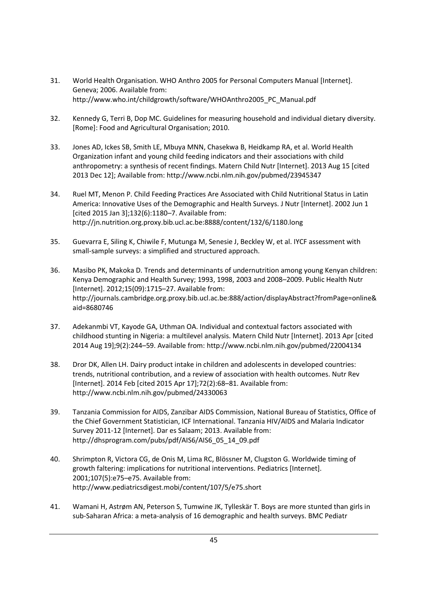- 31. World Health Organisation. WHO Anthro 2005 for Personal Computers Manual [Internet]. Geneva; 2006. Available from: http://www.who.int/childgrowth/software/WHOAnthro2005\_PC\_Manual.pdf
- 32. Kennedy G, Terri B, Dop MC. Guidelines for measuring household and individual dietary diversity. [Rome]: Food and Agricultural Organisation; 2010.
- 33. Jones AD, Ickes SB, Smith LE, Mbuya MNN, Chasekwa B, Heidkamp RA, et al. World Health Organization infant and young child feeding indicators and their associations with child anthropometry: a synthesis of recent findings. Matern Child Nutr [Internet]. 2013 Aug 15 [cited 2013 Dec 12]; Available from: http://www.ncbi.nlm.nih.gov/pubmed/23945347
- 34. Ruel MT, Menon P. Child Feeding Practices Are Associated with Child Nutritional Status in Latin America: Innovative Uses of the Demographic and Health Surveys. J Nutr [Internet]. 2002 Jun 1 [cited 2015 Jan 3];132(6):1180–7. Available from: http://jn.nutrition.org.proxy.bib.ucl.ac.be:8888/content/132/6/1180.long
- 35. Guevarra E, Siling K, Chiwile F, Mutunga M, Senesie J, Beckley W, et al. IYCF assessment with small-sample surveys: a simplified and structured approach.
- 36. Masibo PK, Makoka D. Trends and determinants of undernutrition among young Kenyan children: Kenya Demographic and Health Survey; 1993, 1998, 2003 and 2008–2009. Public Health Nutr [Internet]. 2012;15(09):1715–27. Available from: http://journals.cambridge.org.proxy.bib.ucl.ac.be:888/action/displayAbstract?fromPage=online& aid=8680746
- 37. Adekanmbi VT, Kayode GA, Uthman OA. Individual and contextual factors associated with childhood stunting in Nigeria: a multilevel analysis. Matern Child Nutr [Internet]. 2013 Apr [cited 2014 Aug 19];9(2):244–59. Available from: http://www.ncbi.nlm.nih.gov/pubmed/22004134
- 38. Dror DK, Allen LH. Dairy product intake in children and adolescents in developed countries: trends, nutritional contribution, and a review of association with health outcomes. Nutr Rev [Internet]. 2014 Feb [cited 2015 Apr 17];72(2):68–81. Available from: http://www.ncbi.nlm.nih.gov/pubmed/24330063
- 39. Tanzania Commission for AIDS, Zanzibar AIDS Commission, National Bureau of Statistics, Office of the Chief Government Statistician, ICF International. Tanzania HIV/AIDS and Malaria Indicator Survey 2011-12 [Internet]. Dar es Salaam; 2013. Available from: http://dhsprogram.com/pubs/pdf/AIS6/AIS6\_05\_14\_09.pdf
- 40. Shrimpton R, Victora CG, de Onis M, Lima RC, Blössner M, Clugston G. Worldwide timing of growth faltering: implications for nutritional interventions. Pediatrics [Internet]. 2001;107(5):e75–e75. Available from: http://www.pediatricsdigest.mobi/content/107/5/e75.short
- 41. Wamani H, Astrøm AN, Peterson S, Tumwine JK, Tylleskär T. Boys are more stunted than girls in sub-Saharan Africa: a meta-analysis of 16 demographic and health surveys. BMC Pediatr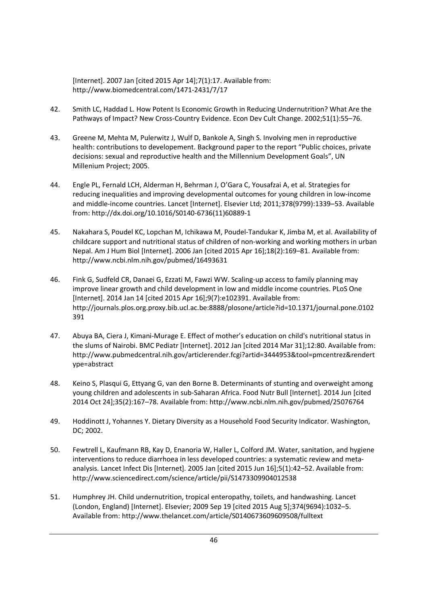[Internet]. 2007 Jan [cited 2015 Apr 14];7(1):17. Available from: http://www.biomedcentral.com/1471-2431/7/17

- 42. Smith LC, Haddad L. How Potent Is Economic Growth in Reducing Undernutrition? What Are the Pathways of Impact? New Cross-Country Evidence. Econ Dev Cult Change. 2002;51(1):55–76.
- 43. Greene M, Mehta M, Pulerwitz J, Wulf D, Bankole A, Singh S. Involving men in reproductive health: contributions to developement. Background paper to the report "Public choices, private decisions: sexual and reproductive health and the Millennium Development Goals", UN Millenium Project; 2005.
- 44. Engle PL, Fernald LCH, Alderman H, Behrman J, O'Gara C, Yousafzai A, et al. Strategies for reducing inequalities and improving developmental outcomes for young children in low-income and middle-income countries. Lancet [Internet]. Elsevier Ltd; 2011;378(9799):1339–53. Available from: http://dx.doi.org/10.1016/S0140-6736(11)60889-1
- 45. Nakahara S, Poudel KC, Lopchan M, Ichikawa M, Poudel-Tandukar K, Jimba M, et al. Availability of childcare support and nutritional status of children of non-working and working mothers in urban Nepal. Am J Hum Biol [Internet]. 2006 Jan [cited 2015 Apr 16];18(2):169–81. Available from: http://www.ncbi.nlm.nih.gov/pubmed/16493631
- 46. Fink G, Sudfeld CR, Danaei G, Ezzati M, Fawzi WW. Scaling-up access to family planning may improve linear growth and child development in low and middle income countries. PLoS One [Internet]. 2014 Jan 14 [cited 2015 Apr 16];9(7):e102391. Available from: http://journals.plos.org.proxy.bib.ucl.ac.be:8888/plosone/article?id=10.1371/journal.pone.0102 391
- 47. Abuya BA, Ciera J, Kimani-Murage E. Effect of mother's education on child's nutritional status in the slums of Nairobi. BMC Pediatr [Internet]. 2012 Jan [cited 2014 Mar 31];12:80. Available from: http://www.pubmedcentral.nih.gov/articlerender.fcgi?artid=3444953&tool=pmcentrez&rendert ype=abstract
- 48. Keino S, Plasqui G, Ettyang G, van den Borne B. Determinants of stunting and overweight among young children and adolescents in sub-Saharan Africa. Food Nutr Bull [Internet]. 2014 Jun [cited 2014 Oct 24];35(2):167–78. Available from: http://www.ncbi.nlm.nih.gov/pubmed/25076764
- 49. Hoddinott J, Yohannes Y. Dietary Diversity as a Household Food Security Indicator. Washington, DC; 2002.
- 50. Fewtrell L, Kaufmann RB, Kay D, Enanoria W, Haller L, Colford JM. Water, sanitation, and hygiene interventions to reduce diarrhoea in less developed countries: a systematic review and metaanalysis. Lancet Infect Dis [Internet]. 2005 Jan [cited 2015 Jun 16];5(1):42–52. Available from: http://www.sciencedirect.com/science/article/pii/S1473309904012538
- 51. Humphrey JH. Child undernutrition, tropical enteropathy, toilets, and handwashing. Lancet (London, England) [Internet]. Elsevier; 2009 Sep 19 [cited 2015 Aug 5];374(9694):1032–5. Available from: http://www.thelancet.com/article/S0140673609609508/fulltext